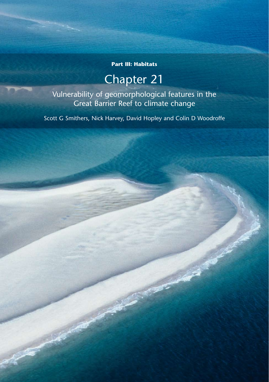# **Part III: Habitats**

# Chapter 21

Vulnerability of geomorphological features in the Great Barrier Reef to climate change

Scott G Smithers, Nick Harvey, David Hopley and Colin D Woodroffe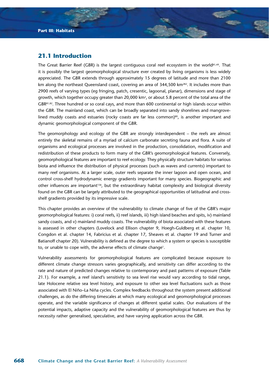# **21.1 Introduction**

The Great Barrier Reef (GBR) is the largest contiguous coral reef ecosystem in the world81,49. That it is possibly the largest geomorphological structure ever created by living organisms is less widely appreciated. The GBR extends through approximately 15 degrees of latitude and more than 2100 km along the northeast Queensland coast, covering an area of 344,500 km<sup>282</sup>. It includes more than 2900 reefs of varying types (eg fringing, patch, cresentic, lagoonal, planar), dimensions and stage of growth, which together occupy greater than 20,000 km<sup>2</sup>, or about 5.8 percent of the total area of the GBR81,82. Three hundred or so coral cays, and more than 600 continental or high islands occur within the GBR. The mainland coast, which can be broadly separated into sandy shorelines and mangrovelined muddy coasts and estuaries (rocky coasts are far less common) $80$ , is another important and dynamic geomorphological component of the GBR.

The geomorphology and ecology of the GBR are strongly interdependent – the reefs are almost entirely the skeletal remains of a myriad of calcium carbonate secreting fauna and flora. A suite of organisms and ecological processes are involved in the production, consolidation, modification and redistribution of these products to form many of the GBR's geomorphological features. Conversely, geomorphological features are important to reef ecology. They physically structure habitats for various biota and influence the distribution of physical processes (such as waves and currents) important to many reef organisms. At a larger scale, outer reefs separate the inner lagoon and open ocean, and control cross-shelf hydrodynamic energy gradients important for many species. Biogeographic and other influences are important156, but the extraordinary habitat complexity and biological diversity found on the GBR can be largely attributed to the geographical opportunities of latitudinal and crossshelf gradients provided by its impressive scale.

This chapter provides an overview of the vulnerability to climate change of five of the GBR's major geomorphological features: i) coral reefs, ii) reef islands, iii) high island beaches and spits, iv) mainland sandy coasts, and v) mainland muddy coasts. The vulnerability of biota associated with these features is assessed in other chapters (Lovelock and Ellison chapter 9, Hoegh-Guldberg et al. chapter 10, Congdon et al. chapter 14, Fabricius et al. chapter 17, Sheaves et al. chapter 19 and Turner and Batianoff chapter 20). Vulnerability is defined as the degree to which a system or species is susceptible to, or unable to cope with, the adverse effects of climate change<sup>1</sup>.

Vulnerability assessments for geomorphological features are complicated because exposure to different climate change stressors varies geographically, and sensitivity can differ according to the rate and nature of predicted changes relative to contemporary and past patterns of exposure (Table 21.1). For example, a reef island's sensitivity to sea level rise would vary according to tidal range, late Holocene relative sea level history, and exposure to other sea level fluctuations such as those associated with El Niño–La Niña cycles. Complex feedbacks throughout the system present additional challenges, as do the differing timescales at which many ecological and geomorphological processes operate, and the variable significance of changes at different spatial scales. Our evaluations of the potential impacts, adaptive capacity and the vulnerability of geomorphological features are thus by necessity rather generalised, speculative, and have varying application across the GBR.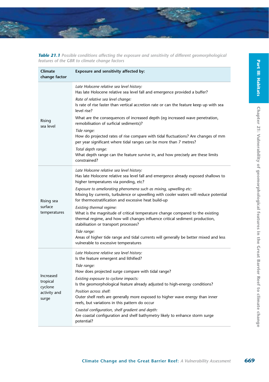| change factor           |                                                                                                                                                                                                                                    |
|-------------------------|------------------------------------------------------------------------------------------------------------------------------------------------------------------------------------------------------------------------------------|
|                         | Late Holocene relative sea level history:<br>Has late Holocene relative sea level fall and emergence provided a buffer?                                                                                                            |
|                         | Rate of relative sea level change:<br>Is rate of rise faster than vertical accretion rate or can the feature keep up with sea<br>level rise?                                                                                       |
| Rising<br>sea level     | What are the consequences of increased depth (eq increased wave penetration,<br>remobilisation of surficial sediments)?                                                                                                            |
|                         | Tide range:<br>How do projected rates of rise compare with tidal fluctuations? Are changes of mm<br>per year significant where tidal ranges can be more than 7 metres?                                                             |
|                         | Total depth range:<br>What depth range can the feature survive in, and how precisely are these limits<br>constrained?                                                                                                              |
|                         | Late Holocene relative sea level history:<br>Has late Holocene relative sea level fall and emergence already exposed shallows to<br>higher temperatures via ponding, etc?                                                          |
| Rising sea              | Exposure to ameliorating phenomena such as mixing, upwelling etc:<br>Mixing by currents, turbulence or upwelling with cooler waters will reduce potential<br>for thermostratification and excessive heat build-up                  |
| surface<br>temperatures | Existing thermal regime:<br>What is the magnitude of critical temperature change compared to the existing<br>thermal regime, and how will changes influence critical sediment production,<br>stabilisation or transport processes? |
|                         | Tide range:<br>Areas of higher tide range and tidal currents will generally be better mixed and less<br>vulnerable to excessive temperatures                                                                                       |
|                         | Late Holocene relative sea level history:<br>Is the feature emergent and lithified?<br>Tide range:                                                                                                                                 |

*Table 21.1 Possible conditions affecting the exposure and sensitivity of different geomorphological features of the GBR to climate change factors*

**Exposure and sensitivity affected by:**

**Climate** 

Increased tropical cyclone activity and surge How does projected surge compare with tidal range? *Existing exposure to cyclone impacts:* Is the geomorphological feature already adjusted to high-energy conditions? *Position across shelf:* Outer shelf reefs are generally more exposed to higher wave energy than inner reefs, but variations in this pattern do occur *Coastal configuration, shelf gradient and depth:* Are coastal configuration and shelf bathymetry likely to enhance storm surge potential?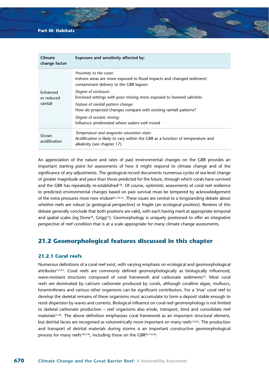# **Part III: Habitats**

| Climate<br>change factor           | Exposure and sensitivity affected by:                                                                                                                         |
|------------------------------------|---------------------------------------------------------------------------------------------------------------------------------------------------------------|
|                                    | Proximity to the coast:<br>Inshore areas are more exposed to flood impacts and changed sediment/<br>contaminant delivery to the GBR lagoon                    |
| Enhanced<br>or reduced<br>rainfall | Degree of enclosure:<br>Enclosed settings with poor mixing more exposed to lowered salinities                                                                 |
|                                    | Nature of rainfall pattern change:<br>How do projected changes compare with existing rainfall patterns?                                                       |
|                                    | Degree of oceanic mixing:<br>Influence ameliorated where waters well mixed                                                                                    |
| Ocean<br>acidification             | Temperature and aragonite saturation state:<br>Acidification is likely to vary within the GBR as a function of temperature and<br>alkalinity (see chapter 17) |

An appreciation of the nature and rates of past environmental changes on the GBR provides an important starting point for assessments of how it might respond to climate change and of the significance of any adjustments. The geological record documents numerous cycles of sea level change of greater magnitude and pace than those predicted for the future, through which corals have survived and the GBR has repeatedly re-established<sup>158</sup>. Of course, optimistic assessments of coral reef resilience to predicted environmental changes based on past survival must be tempered by acknowledgement of the extra pressures most now endure85,124,45. These issues are central to a longstanding debate about whether reefs are robust (a geological perspective) or fragile (an ecological position). Reviews of this debate generally conclude that both positions are valid, with each having merit at appropriate temporal and spatial scales (eg Done<sup>38</sup>, Grigg<sup>57</sup>). Geomorphology is uniquely positioned to offer an integrative perspective of reef condition that is at a scale appropriate for many climate change assessments.

# **21.2 Geomorphological features discussed in this chapter**

# **21.2.1 Coral reefs**

Numerous definitions of a coral reef exist, with varying emphasis on ecological and geomorphological attributes<sup>132,92</sup>. Coral reefs are commonly defined geomorphologically as biologically influenced, wave-resistant structures composed of coral framework and carbonate sediments<sup>70</sup>. Most coral reefs are dominated by calcium carbonate produced by corals, although coralline algae, molluscs, foraminiferans and various other organisms can be significant contributors. For a 'true' coral reef to develop the skeletal remains of these organisms must accumulate to form a deposit stable enough to resist dispersion by waves and currents. Biological influence on coral reef geomorphology is not limited to skeletal carbonate production – reef organisms also erode, transport, bind and consolidate reef materials<sup>51,84</sup>. The above definition emphasises coral framework as an important structural element, but detrital facies are recognised as volumetrically more important on many reefs<sup>110,82</sup>. The production and transport of detrital materials during storms is an important constructive geomorphological process for many reefs<sup>109,136</sup>, including those on the GBR<sup>30,142,82</sup>.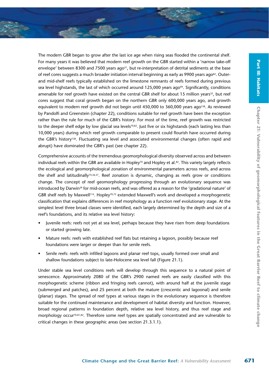The modern GBR began to grow after the last ice age when rising seas flooded the continental shelf. For many years it was believed that modern reef growth on the GBR started within a 'narrow take-off envelope' between 8300 and 7500 years ago<sup>31</sup>, but re-interpretation of detrital sediments at the base of reef cores suggests a much broader initiation interval beginning as early as 9900 years ago<sup>82</sup>. Outerand mid-shelf reefs typically established on the limestone remnants of reefs formed during previous sea level highstands, the last of which occurred around  $125,000$  years ago<sup>94</sup>. Significantly, conditions amenable for reef growth have existed on the central GBR shelf for about 15 million years<sup>32</sup>, but reef cores suggest that coral growth began on the northern GBR only 600,000 years ago, and growth equivalent to modern reef growth did not begin until 450,000 to 360,000 years ago<sup>158</sup>. As reviewed by Pandolfi and Greenstein (chapter 22), conditions suitable for reef growth have been the exception rather than the rule for much of the GBR's history. For most of the time, reef growth was restricted to the deeper shelf edge by low glacial sea levels<sup>70,82</sup>. Just five or six highstands (each lasting less than 10,000 years) during which reef growth comparable to present could flourish have occurred during the GBR's history158. Fluctuating sea level and associated environmental changes (often rapid and abrupt) have dominated the GBR's past (see chapter 22).

Comprehensive accounts of the tremendous geomorphological diversity observed across and between individual reefs within the GBR are available in Hopley<sup>70</sup> and Hopley et al.<sup>82</sup>. This variety largely reflects the ecological and geomorphological zonation of environmental parameters across reefs, and across the shelf and latitudinally74,36,37. Reef zonation is dynamic, changing as reefs grow or conditions change. The concept of reef geomorphology progressing through an evolutionary sequence was introduced by Darwin<sup>29</sup> for mid-ocean reefs, and was offered as a reason for the 'gradational nature' of GBR shelf reefs by Maxwell<sup>114</sup>. Hopley<sup>70,72</sup> extended Maxwell's work and developed a morphogenetic classification that explains differences in reef morphology as a function reef evolutionary stage. At the simplest level three broad classes were identified, each largely determined by the depth and size of a reef's foundations, and its relative sea level history:

- Juvenile reefs: reefs not yet at sea level, perhaps because they have risen from deep foundations or started growing late.
- Mature reefs: reefs with established reef flats but retaining a lagoon, possibly because reef foundations were larger or deeper than for senile reefs.
- Senile reefs: reefs with infilled lagoons and planar reef tops, usually formed over small and shallow foundations subject to late-Holocene sea level fall (Figure 21.1).

Under stable sea level conditions reefs will develop through this sequence to a natural point of senescence. Approximately 2080 of the GBR's 2900 named reefs are easily classified with this morphogenetic scheme (ribbon and fringing reefs cannot), with around half at the juvenile stage (submerged and patches), and 25 percent at both the mature (crescentic and lagoonal) and senile (planar) stages. The spread of reef types at various stages in the evolutionary sequence is therefore suitable for the continued maintenance and development of habitat diversity and function. However, broad regional patterns in foundation depth, relative sea level history, and thus reef stage and morphology occur<sup>70,81,82</sup>. Therefore some reef types are spatially concentrated and are vulnerable to critical changes in these geographic areas (see section 21.3.1.1).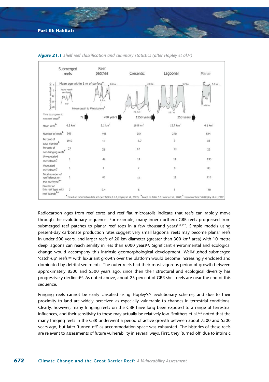

*Figure 21.1 Shelf reef classification and summary statistics (after Hopley et al.82)*

Radiocarbon ages from reef cores and reef flat microatolls indicate that reefs can rapidly move through the evolutionary sequence. For example, many inner northern GBR reefs progressed from submerged reef patches to planar reef tops in a few thousand years<sup>153,137</sup>. Simple models using present-day carbonate production rates suggest very small lagoonal reefs may become planar reefs in under 500 years, and larger reefs of 20 km diameter (greater than 300 km<sup>2</sup> area) with 10 metre deep lagoons can reach senility in less than 6000 years<sup>82</sup>. Significant environmental and ecological change would accompany this intrinsic geomorphological development. Well-flushed submerged 'catch-up' reefs116 with luxuriant growth over the platform would become increasingly enclosed and dominated by detrital sediments. The outer reefs had their most vigorous period of growth between approximately 8500 and 5500 years ago, since then their structural and ecological diversity has progressively declined<sup>82</sup>. As noted above, about 25 percent of GBR shelf reefs are near the end of this sequence.

Fringing reefs cannot be easily classified using Hopley's<sup>70</sup> evolutionary scheme, and due to their proximity to land are widely perceived as especially vulnerable to changes in terrestrial conditions. Clearly, however, many fringing reefs on the GBR have long been exposed to a range of terrestrial influences, and their sensitivity to these may actually be relatively low. Smithers et al.<sup>143</sup> noted that the many fringing reefs in the GBR underwent a period of active growth between about 7500 and 5500 years ago, but later 'turned off' as accommodation space was exhausted. The histories of these reefs are relevant to assessments of future vulnerability in several ways. First, they 'turned off' due to intrinsic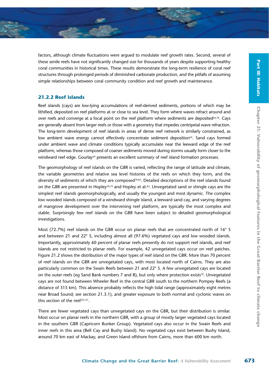factors, although climate fluctuations were argued to modulate reef growth rates. Second, several of these senile reefs have not significantly changed size for thousands of years despite supporting healthy coral communities in historical times. These results demonstrate the long-term resilience of coral reef structures through prolonged periods of diminished carbonate production, and the pitfalls of assuming simple relationships between coral community condition and reef growth and maintenance.

# **21.2.2 Reef islands**

Reef islands (cays) are low-lying accumulations of reef-derived sediments, portions of which may be lithified, deposited on reef platforms at or close to sea level. They form where waves refract around and over reefs and converge at a focal point on the reef platform where sediments are deposited<sup>54,79</sup>. Cays are generally absent from larger reefs or those with a geometry that impedes centripetal wave refraction. The long-term development of reef islands in areas of dense reef network is similarly constrained, as low ambient wave energy cannot effectively concentrate sediment deposition<sup>54</sup>. Sand cays formed under ambient wave and climate conditions typically accumulate near the leeward edge of the reef platform, whereas those composed of coarser sediments moved during storms usually form closer to the windward reef edge. Gourlay<sup>54</sup> presents an excellent summary of reef island formation processes.

The geomorphology of reef islands on the GBR is varied, reflecting the range of latitude and climate, the variable geometries and relative sea level histories of the reefs on which they form, and the diversity of sediments of which they are composed<sup>79,82</sup>. Detailed descriptions of the reef islands found on the GBR are presented in Hopley<sup>70,79</sup> and Hopley et al.<sup>82</sup>. Unvegetated sand or shingle cays are the simplest reef islands geomorphologically, and usually the youngest and most dynamic. The complex low wooded islands composed of a windward shingle island, a leeward sand cay, and varying degrees of mangrove development over the intervening reef platform, are typically the most complex and stable. Surprisingly few reef islands on the GBR have been subject to detailed geomorphological investigations.

Most (72.7%) reef islands on the GBR occur on planar reefs that are concentrated north of 16° S and between 21 and 22° S, including almost all (97.6%) vegetated cays and low wooded islands. Importantly, approximately 60 percent of planar reefs presently do not support reef islands, and reef islands are not restricted to planar reefs. For example, 42 unvegetated cays occur on reef patches. Figure 21.2 shows the distribution of the major types of reef island on the GBR. More than 70 percent of reef islands on the GBR are unvegetated cays, with most located north of Cairns. They are also particularly common on the Swain Reefs between 21 and 22° S. A few unvegetated cays are located on the outer reefs (eq Sand Bank numbers 7 and 8), but only where protection exists<sup>70</sup>. Unvegetated cays are not found between Wheeler Reef in the central GBR south to the northern Pompey Reefs (a distance of 315 km). This absence probably reflects the high tidal range (approximately eight metres near Broad Sound; see section 21.3.1), and greater exposure to both normal and cyclonic waves on this section of the reef<sup>70,127</sup>.

There are fewer vegetated cays than unvegetated cays on the GBR, but their distribution is similar. Most occur on planar reefs in the northern GBR, with a group of mostly larger vegetated cays located in the southern GBR (Capricorn Bunker Group). Vegetated cays also occur in the Swain Reefs and inner reefs in this area (Bell Cay and Bushy Island). No vegetated cays exist between Bushy Island, around 70 km east of Mackay, and Green Island offshore from Cairns, more than 600 km north.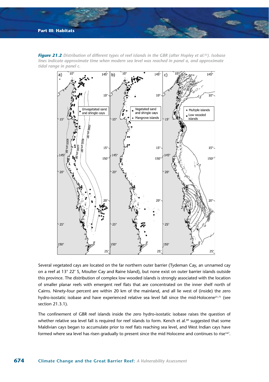

*Figure 21.2 Distribution of different types of reef islands in the GBR (after Hopley et al.82). Isobase lines indicate approximate time when modern sea level was reached in panel a, and approximate tidal range in panel c.*

Several vegetated cays are located on the far northern outer barrier (Tydeman Cay, an unnamed cay on a reef at 13° 22' S, Moulter Cay and Raine Island), but none exist on outer barrier islands outside this province. The distribution of complex low wooded islands is strongly associated with the location of smaller planar reefs with emergent reef flats that are concentrated on the inner shelf north of Cairns. Ninety-four percent are within 20 km of the mainland, and all lie west of (inside) the zero hydro-isostatic isobase and have experienced relative sea level fall since the mid-Holocene<sup>21,71</sup> (see section 21.3.1).

The confinement of GBR reef islands inside the zero hydro-isostatic isobase raises the question of whether relative sea level fall is required for reef islands to form. Kench et al.89 suggested that some Maldivian cays began to accumulate prior to reef flats reaching sea level, and West Indian cays have formed where sea level has risen gradually to present since the mid Holocene and continues to rise<sup>167</sup>.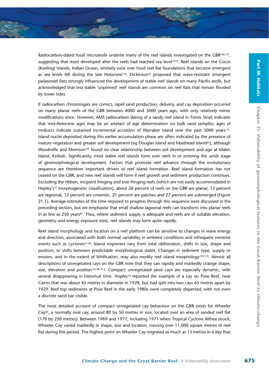Radiocarbon-dated fossil microatolls underlie many of the reef islands investigated on the GBR<sup>106,147</sup>, suggesting that most developed after the reefs had reached sea level<sup>18,21</sup>. Reef islands on the Cocos (Keeling) Islands, Indian Ocean, similarly exist over fossil reef flat foundations that became emergent as sea levels fell during the late Holocene<sup>170</sup>. Dickinson<sup>35</sup> proposed that wave-resistant emergent palaeoreef flats strongly influenced the development of stable reef islands on many Pacific atolls, but acknowledged that less stable 'unpinned' reef islands are common on reef flats that remain flooded by lower tides.

If radiocarbon chronologies are correct, rapid sand production, delivery, and cay deposition occurred on many planar reefs of the GBR between 4000 and 3000 years ago, with only relatively minor modifications since. However, AMS radiocarbon dating of a sandy reef island in Torres Strait indicates that mid-Holocene ages may be an artefact of age determination on bulk sand samples; ages of molluscs indicate sustained incremental accretion of Warraber Island over the past 3000 years<sup>172</sup>. Island nuclei deposited during this earlier accumulation phase are often indicated by the presence of mature vegetation and greater soil development (eg Douglas Island and Masthead Island63), although Woodroffe and Morrison<sup>169</sup> found no clear relationship between soil development and age at Makin Island, Kiribati. Significantly, most stable reef islands form over reefs in or entering the *senile* stage of geomorphological development. Factors that promote reef advance through the evolutionary sequence are therefore important drivers of reef island formation. Reef island formation has not ceased on the GBR, and new reef islands will form if reef growth and sediment production continues. Excluding the ribbon, incipient fringing and true fringing reefs (which are not easily accommodated in Hopley's<sup>70</sup> morphogenetic classification), about 26 percent of reefs on the GBR are planar, 13 percent are lagoonal, 12 percent are cresentic, 21 percent are patches and 27 percent are submerged (Figure 21.1). Average estimates of the time required to progress through this sequence were discussed in the preceding section, but we emphasise that small shallow lagoonal reefs can transform into planar reefs in as few as 250 years<sup>82</sup>. Thus, where sediment supply is adequate and reefs are of suitable elevation, geometry and energy exposure exist, reef islands may form quite rapidly.

Reef island morphology and location on a reef platform can be sensitive to changes in wave energy and direction, associated with both normal variability in ambient conditions and infrequent extreme events such as cyclones<sup>47,48</sup>. Island responses vary from total obliteration, shifts in size, shape and position, or shifts between predictable morphological states. Changes in sediment type, supply or erosion, and in the extent of lithification, may also modify reef island morphology<sup>149,178</sup>. Almost all descriptions of unvegetated cays on the GBR note that they can rapidly and markedly change shape, size, elevation and position<sup>152,69,70,3</sup>. Compact unvegetated sand cays are especially dynamic, with several disappearing in historical time. Hopley<sup>70</sup> reported the example of a cay on Pixie Reef, near Cairns that was about 45 metres in diameter in 1928, but had split into two cays 65 metres apart by 1929. Reef top sediments at Pixie Reef in the early 1980s were completely dispersed, with not even a discrete sand bar visible.

The most detailed account of compact unvegetated cay behaviour on the GBR exists for Wheeler Cay<sup>69</sup>, a normally oval cay, around 80 by 50 metres in size, located over an area of sanded reef flat (170 by 250 metres). Between 1969 and 1977, including 1971 when Tropical Cyclone Althea struck, Wheeler Cay varied markedly in shape, size and location, moving over 11,000 square metres of reef flat during this period. The highest point on Wheeler Cay migrated as much as 13 metres in a day that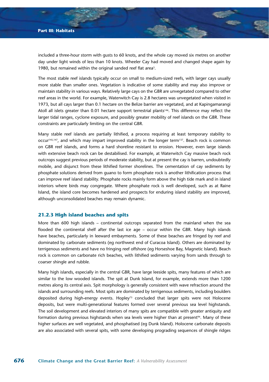included a three-hour storm with gusts to 60 knots, and the whole cay moved six metres on another day under light winds of less than 10 knots. Wheeler Cay had moved and changed shape again by 1980, but remained within the original sanded reef flat area<sup>3</sup>.

The most stable reef islands typically occur on small to medium-sized reefs, with larger cays usually more stable than smaller ones. Vegetation is indicative of some stability and may also improve or maintain stability in various ways. Relatively large cays on the GBR are unvegetated compared to other reef areas in the world. For example, Waterwitch Cay is 2.8 hectares was unvegetated when visited in 1973, but all cays larger than 0.1 hectare on the Belize barrier are vegetated, and at Kapingamarangi Atoll all islets greater than 0.01 hectare support terrestrial plants<sup>146</sup>. This difference may reflect the larger tidal ranges, cyclone exposure, and possibly greater mobility of reef islands on the GBR. These constraints are particularly limiting on the central GBR.

Many stable reef islands are partially lithified, a process requiring at least temporary stability to occur<sup>145,147</sup>, and which may impart improved stability in the longer term<sup>137</sup>. Beach rock is common on GBR reef islands, and forms a hard shoreline resistant to erosion. However, even large islands with extensive beach rock can be destabilised. For example, at Waterwitch Cay massive beach rock outcrops suggest previous periods of moderate stability, but at present the cay is barren, undoubtedly mobile, and disjunct from these lithified former shorelines. The cementation of cay sediments by phosphate solutions derived from guano to form phosphate rock is another lithification process that can improve reef island stability. Phosphate rocks mainly form above the high tide mark and in island interiors where birds may congregate. Where phosphate rock is well developed, such as at Raine Island, the island core becomes hardened and prospects for enduring island stability are improved, although unconsolidated beaches may remain dynamic.

#### **21.2.3 High island beaches and spits**

More than 600 high islands – continental outcrops separated from the mainland when the sea flooded the continental shelf after the last ice age – occur within the GBR. Many high islands have beaches, particularly in leeward embayments. Some of these beaches are fringed by reef and dominated by carbonate sediments (eg northwest end of Curacoa Island). Others are dominated by terrigenous sediments and have no fringing reef offshore (eg Horseshoe Bay, Magnetic Island). Beach rock is common on carbonate rich beaches, with lithified sediments varying from sands through to coarser shingle and rubble.

Many high islands, especially in the central GBR, have large leeside spits, many features of which are similar to the low wooded islands. The spit at Dunk Island, for example, extends more than 1200 metres along its central axis. Spit morphology is generally consistent with wave refraction around the islands and surrounding reefs. Most spits are dominated by terrigenous sediments, including boulders deposited during high-energy events. Hopley<sup>73</sup> concluded that larger spits were not Holocene deposits, but were multi-generational features formed over several previous sea level highstands. The soil development and elevated interiors of many spits are compatible with greater antiquity and formation during previous highstands when sea levels were higher than at present94. Many of these higher surfaces are well vegetated, and phosphatised (eg Dunk Island). Holocene carbonate deposits are also associated with several spits, with some developing prograding sequences of shingle ridges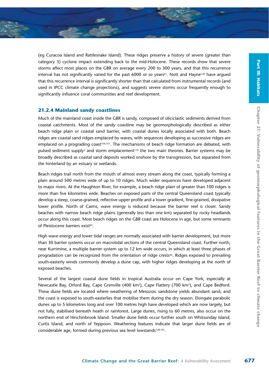(eg Curacoa Island and Rattlesnake Island). These ridges preserve a history of severe (greater than category 3) cyclone impact extending back to the mid-Holocene. These records show that severe storms affect most places on the GBR on average every 200 to 300 years, and that this recurrence interval has not significantly varied for the past 6000 or so years<sup>61</sup>. Nott and Hayne<sup>120</sup> have argued that this recurrence interval is significantly shorter than that calculated from instrumental records (and used in IPCC climate change projections), and suggests severe storms occur frequently enough to significantly influence coral communities and reef development.

#### **21.2.4 Mainland sandy coastlines**

Much of the mainland coast inside the GBR is sandy, composed of siliciclastic sediments derived from coastal catchments. Most of the sandy coastline may be geomorphologically described as either beach ridge plain or coastal sand barrier, with coastal dunes locally associated with both. Beach ridges are coastal sand ridges emplaced by waves, with sequences developing as successive ridges are emplaced on a prograding coast<sup>150,151</sup>. The mechanisms of beach ridge formation are debated, with pulsed sediment supply<sup>2</sup> and storm emplacement<sup>119</sup> the two main theories. Barrier systems may be broadly described as coastal sand deposits worked onshore by the transgression, but separated from the hinterland by an estuary or wetlands.

Beach ridges trail north from the mouth of almost every stream along the coast, typically forming a plain around 500 metres wide of up to 10 ridges. Much wider sequences have developed adjacent to major rivers. At the Haughton River, for example, a beach ridge plain of greater than 100 ridges is more than five kilometres wide. Beaches on exposed parts of the central Queensland coast typically develop a steep, coarse-grained, reflective upper profile and a lower gradient, fine-grained, dissipative lower profile. North of Cairns, wave energy is reduced because the barrier reef is closer. Sandy beaches with narrow beach ridge plains (generally less than one km) separated by rocky headlands occur along this coast. Most beach ridges on the GBR coast are Holocene in age, but some remnants of Pleistocene barriers exist<sup>65</sup>.

High wave energy and lower tidal ranges are normally associated with barrier development, but more than 30 barrier systems occur on macrotidal sections of the central Queensland coast. Further north, near Kurrimine, a multiple barrier system up to 12 km wide occurs, in which at least three phases of progradation can be recognized from the orientation of ridge crests<sup>56</sup>. Ridges exposed to prevailing south-easterly winds commonly develop a dune cap, with higher ridges developing at the north of exposed beaches.

Several of the largest coastal dune fields in tropical Australia occur on Cape York, especially at Newcastle Bay, Orford Bay, Cape Grenville (400 km<sup>2</sup>), Cape Flattery (700 km<sup>2</sup>), and Cape Bedford. These dune fields are located where weathering of Mesozoic sandstone yields abundant sand, and the coast is exposed to south-easterlies that mobilise them during the dry season. Elongate parabolic dunes up to 5 kilometres long and over 100 metres high have developed which are now largely, but not fully, stabilised beneath heath or rainforest. Large dunes, rising to 60 metres, also occur on the northern end of Hinchinbrook Island. Smaller dune fields occur further south on Whitsunday Island, Curtis Island, and north of Yeppoon. Weathering features indicate that larger dune fields are of considerable age, formed during previous sea level lowstands<sup>128,101</sup>.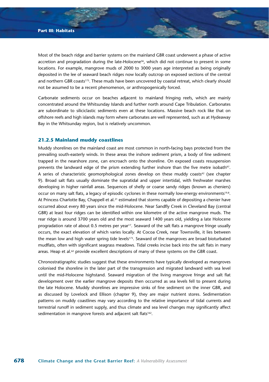Most of the beach ridge and barrier systems on the mainland GBR coast underwent a phase of active accretion and progradation during the late-Holocene<sup>56</sup>, which did not continue to present in some locations. For example, mangrove muds of 2000 to 3000 years age interpreted as being originally deposited in the lee of seaward beach ridges now locally outcrop on exposed sections of the central and northern GBR coasts<sup>175</sup>. These muds have been uncovered by coastal retreat, which clearly should not be assumed to be a recent phenomenon, or anthropogenically forced.

Carbonate sediments occur on beaches adjacent to mainland fringing reefs, which are mainly concentrated around the Whitsunday Islands and further north around Cape Tribulation. Carbonates are subordinate to siliciclastic sediments even at these locations. Massive beach rock like that on offshore reefs and high islands may form where carbonates are well represented, such as at Hydeaway Bay in the Whitsunday region, but is relatively uncommon.

# **21.2.5 Mainland muddy coastlines**

Muddy shorelines on the mainland coast are most common in north-facing bays protected from the prevailing south-easterly winds. In these areas the inshore sediment prism, a body of fine sediment trapped in the nearshore zone, can encroach onto the shoreline. On exposed coasts resuspension prevents the landward edge of the prism extending further inshore than the five metre isobath<sup>97</sup>. A series of characteristic geomorphological zones develop on these muddy coasts<sup>42</sup> (see chapter 9). Broad salt flats usually dominate the supratidal and upper intertidal, with freshwater marshes developing in higher rainfall areas. Sequences of shelly or coarse sandy ridges (known as cheniers) occur on many salt flats, a legacy of episodic cyclones in these normally low-energy environments<sup>19,8</sup>. At Princess Charlotte Bay, Chappell et al.<sup>21</sup> estimated that storms capable of depositing a chenier have occurred about every 80 years since the mid-Holocene. Near Sandfly Creek in Cleveland Bay (central GBR) at least four ridges can be identified within one kilometre of the active mangrove muds. The rear ridge is around 3700 years old and the most seaward 1400 years old, yielding a late Holocene progradation rate of about 0.5 metres per year<sup>17</sup>. Seaward of the salt flats a mangrove fringe usually occurs, the exact elevation of which varies locally. At Cocoa Creek, near Townsville, it lies between the mean low and high water spring tide levels<sup>173</sup>. Seaward of the mangroves are broad bioturbated mudflats, often with significant seagrass meadows. Tidal creeks incise back into the salt flats in many areas. Heap et al.<sup>62</sup> provide excellent descriptions of many of these systems on the GBR coast.

Chronostratigraphic studies suggest that these environments have typically developed as mangroves colonised the shoreline in the later part of the transgression and migrated landward with sea level until the mid-Holocene highstand. Seaward migration of the living mangrove fringe and salt flat development over the earlier mangrove deposits then occurred as sea levels fell to present during the late Holocene. Muddy shorelines are impressive sinks of fine sediment on the inner GBR, and as discussed by Lovelock and Ellison (chapter 9), they are major nutrient stores. Sedimentation patterns on muddy coastlines may vary according to the relative importance of tidal currents and terrestrial runoff in sediment supply, and thus climate and sea level changes may significantly affect sedimentation in mangrove forests and adjacent salt flats<sup>162</sup>.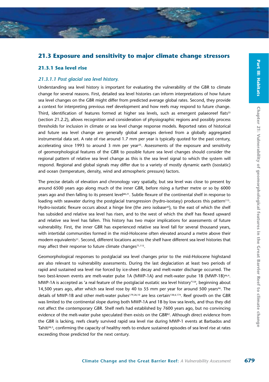# **21.3 Exposure and sensitivity to major climate change stressors**

#### **21.3.1 Sea level rise**

### *21.3.1.1 Post glacial sea level history.*

Understanding sea level history is important for evaluating the vulnerability of the GBR to climate change for several reasons. First, detailed sea level histories can inform interpretations of how future sea level changes on the GBR might differ from predicted average global rates. Second, they provide a context for interpreting previous reef development and how reefs may respond to future change. Third, identification of features formed at higher sea levels, such as emergent palaeoreef flats<sup>35</sup> (section 21.2.2), allows recognition and consideration of physiographic regions and possibly process thresholds for inclusion in climate or sea level change response models. Reported rates of historical and future sea level change are generally global averages derived from a globally aggregated instrumental data set. A rate of rise around 1.7 mm per year is typically quoted for the past century, accelerating since 1993 to around 3 mm per year<sup>25</sup>. Assessments of the exposure and sensitivity of geomorphological features of the GBR to possible future sea level changes should consider the regional pattern of relative sea level change as this is the sea level signal to which the system will respond. Regional and global signals may differ due to a variety of mostly dynamic earth (isostatic) and ocean (temperature, density, wind and atmospheric pressure) factors.

The precise details of elevation and chronology vary spatially, but sea level was close to present by around 6500 years ago along much of the inner GBR, before rising a further metre or so by 6000 years ago and then falling to its present level<sup>68,21</sup>. Subtle flexure of the continental shelf in response to loading with seawater during the postglacial transgression (hydro-isostasy) produces this pattern<sup>115</sup>. Hydro-isostatic flexure occurs about a hinge line (the zero isobase<sup>20</sup>), to the east of which the shelf has subsided and relative sea level has risen, and to the west of which the shelf has flexed upward and relative sea level has fallen. This history has two major implications for assessments of future vulnerability. First, the inner GBR has experienced relative sea level fall for several thousand years, with intertidal communities formed in the mid-Holocene often elevated around a metre above their modern equivalents21. Second, different locations across the shelf have different sea level histories that may affect their response to future climate changes<sup>71,115</sup>.

Geomorphological responses to postglacial sea level changes prior to the mid-Holocene highstand are also relevant to vulnerability assessments. During the last deglaciation at least two periods of rapid and sustained sea level rise forced by ice-sheet decay and melt-water discharge occurred. The two best-known events are melt-water pulse 1A (MWP-1A) and melt-water pulse 1B (MWP-1B)<sup>46,4</sup>. MWP-1A is accepted as 'a real feature of the postglacial eustatic sea level history'159, beginning about 14,500 years ago, after which sea level rose by 40 to 55 mm per year for around 500 years<sup>46</sup>. The details of MWP-1B and other melt-water pulses<sup>179,26,10</sup> are less certain<sup>138,6,174</sup>. Reef growth on the GBR was limited to the continental slope during both MWP-1A and 1B by low sea levels, and thus they did not affect the contemporary GBR. Shelf reefs had established by 7600 years ago, but no convincing evidence of the melt-water pulse speculated then exists on the GBR<sup>82</sup>. Although direct evidence from the GBR is lacking, reefs clearly survived rapid sea level rise during MWP-1 events at Barbados and Tahiti<sup>46,5</sup>, confirming the capacity of healthy reefs to endure sustained episodes of sea level rise at rates exceeding those predicted for the next century.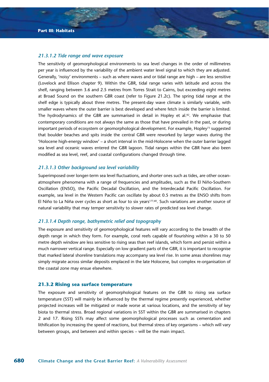#### *21.3.1.2 Tide range and wave exposure*

The sensitivity of geomorphological environments to sea level changes in the order of millimetres per year is influenced by the variability of the ambient water level signal to which they are adjusted. Generally, 'noisy' environments – such as where waves and or tidal range are high – are less sensitive (Lovelock and Ellison chapter 9). Within the GBR, tidal range varies with latitude and across the shelf, ranging between 3.6 and 2.5 metres from Torres Strait to Cairns, but exceeding eight metres at Broad Sound on the southern GBR coast (refer to Figure 21.2c). The spring tidal range at the shelf edge is typically about three metres. The present-day wave climate is similarly variable, with smaller waves where the outer barrier is best developed and where fetch inside the barrier is limited. The hydrodynamics of the GBR are summarised in detail in Hopley et al.<sup>82</sup>. We emphasise that contemporary conditions are not always the same as those that have prevailed in the past, or during important periods of ecosystem or geomorphological development. For example, Hopley<sup>73</sup> suggested that boulder beaches and spits inside the central GBR were reworked by larger waves during the 'Holocene high-energy window' – a short interval in the mid-Holocene when the outer barrier lagged sea level and oceanic waves entered the GBR lagoon. Tidal ranges within the GBR have also been modified as sea level, reef, and coastal configurations changed through time.

#### *21.3.1.3 Other background sea level variability*

Superimposed over longer-term sea level fluctuations, and shorter ones such as tides, are other oceanatmosphere phenomena with a range of frequencies and amplitudes, such as the El Niño-Southern Oscillation (ENSO), the Pacific Decadal Oscillation, and the Interdecadal Pacific Oscillation. For example, sea level in the Western Pacific can oscillate by about 0.5 metres as the ENSO shifts from El Niño to La Niña over cycles as short as four to six years177,60. Such variations are another source of natural variability that may temper sensitivity to slower rates of predicted sea level change.

## *21.3.1.4 Depth range, bathymetric relief and topography*

The exposure and sensitivity of geomorphological features will vary according to the breadth of the depth range in which they form. For example, coral reefs capable of flourishing within a 30 to 50 metre depth window are less sensitive to rising seas than reef islands, which form and persist within a much narrower vertical range. Especially on low gradient parts of the GBR, it is important to recognise that marked lateral shoreline translations may accompany sea level rise. In some areas shorelines may simply migrate across similar deposits emplaced in the late Holocene, but complex re-organisation of the coastal zone may ensue elsewhere.

#### **21.3.2 Rising sea surface temperature**

The exposure and sensitivity of geomorphological features on the GBR to rising sea surface temperature (SST) will mainly be influenced by the thermal regime presently experienced, whether projected increases will be mitigated or made worse at various locations, and the sensitivity of key biota to thermal stress. Broad regional variations in SST within the GBR are summarised in chapters 2 and 17. Rising SSTs may affect some geomorphological processes such as cementation and lithification by increasing the speed of reactions, but thermal stress of key organisms – which will vary between groups, and between and within species – will be the main impact.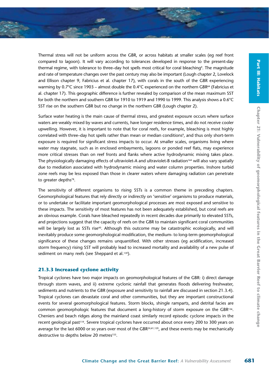Thermal stress will not be uniform across the GBR, or across habitats at smaller scales (eg reef front compared to lagoon). It will vary according to tolerances developed in response to the present-day thermal regime, with tolerance to three–day hot spells most critical for coral bleaching<sup>9</sup>. The magnitude and rate of temperature changes over the past century may also be important (Lough chapter 2, Lovelock and Ellison chapter 9, Fabricius et al. chapter 17), with corals in the south of the GBR experiencing warming by 0.7°C since 1903 – almost double the 0.4°C experienced on the northern GBR<sup>64</sup> (Fabricius et al. chapter 17). This geographic difference is further revealed by comparison of the mean maximum SST for both the northern and southern GBR for 1910 to 1919 and 1990 to 1999. This analysis shows a 0.6°C SST rise on the southern GBR but no change in the northern GBR (Lough chapter 2).

Surface water heating is the main cause of thermal stress, and greatest exposure occurs where surface waters are weakly mixed by waves and currents, have longer residence times, and do not receive cooler upwelling. However, it is important to note that for coral reefs, for example, bleaching is most highly correlated with three–day hot spells rather than mean or median conditions<sup>9</sup>, and thus only short-term exposure is required for significant stress impacts to occur. At smaller scales, organisms living where water may stagnate, such as in enclosed embayments, lagoons or ponded reef flats, may experience more critical stresses than on reef fronts and flanks where active hydrodynamic mixing takes place. The physiologically damaging effects of ultraviolet-A and ultraviolet-B radiation<sup>164</sup> will also vary spatially due to mediation associated with hydrodynamic mixing and water column properties. Inshore turbid zone reefs may be less exposed than those in clearer waters where damaging radiation can penetrate to greater depths<sup>78</sup>.

The sensitivity of different organisms to rising SSTs is a common theme in preceding chapters. Geomorphological features that rely directly or indirectly on 'sensitive' organisms to produce materials, or to undertake or facilitate important geomorphological processes are most exposed and sensitive to these impacts. The sensitivity of most features has not been adequately established, but coral reefs are an obvious example. Corals have bleached repeatedly in recent decades due primarily to elevated SSTs, and projections suggest that the capacity of reefs on the GBR to maintain significant coral communities will be largely lost as SSTs rise<sup>40</sup>. Although this outcome may be catastrophic ecologically, and will inevitably produce some geomorphological modification, the medium- to long-term geomorphological significance of these changes remains unquantified. With other stresses (eg acidification, increased storm frequency) rising SST will probably lead to increased mortality and availability of a new pulse of sediment on many reefs (see Sheppard et al.<sup>139</sup>).

#### **21.3.3 Increased cyclone activity**

Tropical cyclones have two major impacts on geomorphological features of the GBR: i) direct damage through storm waves, and ii) extreme cyclonic rainfall that generates floods delivering freshwater, sediments and nutrients to the GBR (exposure and sensitivity to rainfall are discussed in section 21.3.4). Tropical cyclones can devastate coral and other communities, but they are important constructional events for several geomorphological features. Storm blocks, shingle ramparts, and detrital facies are common geomorphologic features that document a long-history of storm exposure on the GBR136. Cheniers and beach ridges along the mainland coast similarly record episodic cyclone impacts in the recent geological past119. Severe tropical cyclones have occurred about once every 200 to 300 years on average for the last 6000 or so years over most of the GBR<sup>24,61,120</sup>, and these events may be mechanically destructive to depths below 20 metres<sup>155</sup>.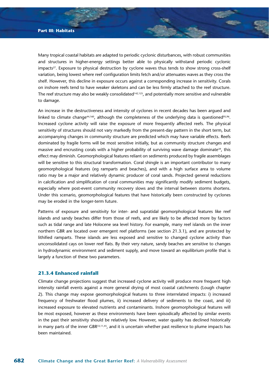Many tropical coastal habitats are adapted to periodic cyclonic disturbances, with robust communities and structures in higher-energy settings better able to physically withstand periodic cyclonic impacts<sup>27</sup>. Exposure to physical destruction by cyclone waves thus tends to show strong cross-shelf variation, being lowest where reef configuration limits fetch and/or attenuates waves as they cross the shelf. However, this decline in exposure occurs against a corresponding increase in sensitivity. Corals on inshore reefs tend to have weaker skeletons and can be less firmly attached to the reef structure. The reef structure may also be weakly consolidated<sup>142,125</sup>, and potentially more sensitive and vulnerable to damage.

An increase in the destructiveness and intensity of cyclones in recent decades has been argued and linked to climate change<sup>44,160</sup>, although the completeness of the underlying data is questioned<sup>95,96</sup>. Increased cyclone activity will raise the exposure of more frequently affected reefs. The physical sensitivity of structures should not vary markedly from the present-day pattern in the short term, but accompanying changes in community structure are predicted which may have variable effects. Reefs dominated by fragile forms will be most sensitive initially, but as community structure changes and massive and encrusting corals with a higher probability of surviving wave damage dominate<sup>39</sup>, this effect may diminish. Geomorphological features reliant on sediments produced by fragile assemblages will be sensitive to this structural transformation. Coral shingle is an important contributor to many geomorphological features (eg ramparts and beaches), and with a high surface area to volume ratio may be a major and relatively dynamic producer of coral sands. Projected general reductions in calcification and simplification of coral communities may significantly modify sediment budgets, especially where post-event community recovery slows and the interval between storms shortens. Under this scenario, geomorphological features that have historically been constructed by cyclones may be eroded in the longer-term future.

Patterns of exposure and sensitivity for inter- and supratidal geomorphological features like reef islands and sandy beaches differ from those of reefs, and are likely to be affected more by factors such as tidal range and late Holocene sea level history. For example, many reef islands on the inner northern GBR are located over emergent reef platforms (see section 21.3.1), and are protected by lithified ramparts. These islands are less exposed and sensitive to changed cyclone activity than unconsolidated cays on lower reef flats. By their very nature, sandy beaches are sensitive to changes in hydrodynamic environment and sediment supply, and move toward an equilibrium profile that is largely a function of these two parameters.

# **21.3.4 Enhanced rainfall**

Climate change projections suggest that increased cyclone activity will produce more frequent high intensity rainfall events against a more general drying of most coastal catchments (Lough chapter 2). This change may expose geomorphological features to three interrelated impacts: i) increased frequency of freshwater flood plumes, ii) increased delivery of sediments to the coast, and iii) increased exposure to elevated nutrients and contaminants. Inshore geomorphological features will be most exposed, however as these environments have been episodically affected by similar events in the past their sensitivity should be relatively low. However, water quality has declined historically in many parts of the inner GBR33,11,45, and it is uncertain whether past resilience to plume impacts has been maintained.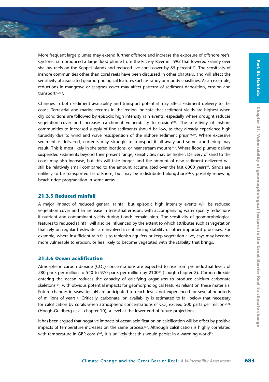More frequent large plumes may extend further offshore and increase the exposure of offshore reefs. Cyclonic rain produced a large flood plume from the Fitzroy River in 1992 that lowered salinity over shallow reefs on the Keppel Islands and reduced live coral cover by 85 percent<sup>155</sup>. The sensitivity of inshore communities other than coral reefs have been discussed in other chapters, and will affect the sensitivity of associated geomorphological features such as sandy or muddy coastlines. As an example, reductions in mangrove or seagrass cover may affect patterns of sediment deposition, erosion and transport<sup>70,154</sup>.

Changes in both sediment availability and transport potential may affect sediment delivery to the coast. Terrestrial and marine records in the region indicate that sediment yields are highest when dry conditions are followed by episodic high intensity rain events, especially where drought reduces vegetation cover and increases catchment vulnerability to erosion $103$ . The sensitivity of inshore communities to increased supply of fine sediments should be low, as they already experience high turbidity due to wind and wave resuspension of the inshore sediment prism<sup>98,99</sup>. Where excessive sediment is delivered, currents may struggle to transport it all away and some smothering may result. This is most likely in sheltered locations, or near stream mouths<sup>163</sup>. Where flood plumes deliver suspended sediments beyond their present range, sensitivities may be higher. Delivery of sand to the coast may also increase, but this will take longer, and the amount of new sediment delivered will still be relatively small compared to the amount accumulated over the last 6000 years<sup>97</sup>. Sands are unlikely to be transported far offshore, but may be redistributed alongshore $7,126$ , possibly renewing beach ridge progradation in some areas.

#### **21.3.5 Reduced rainfall**

A major impact of reduced general rainfall but episodic high intensity events will be reduced vegetation cover and an increase in terrestrial erosion, with accompanying water quality reductions if nutrient and contaminant yields during floods remain high. The sensitivity of geomorphological features to reduced rainfall will also be influenced by the extent to which attributes such as vegetation that rely on regular freshwater are involved in enhancing stability or other important processes. For example, where insufficient rain falls to replenish aquifers or keep vegetation alive, cays may become more vulnerable to erosion, or less likely to become vegetated with the stability that brings.

#### **21.3.6 Ocean acidification**

Atmospheric carbon dioxide  $(CO<sub>2</sub>)$  concentrations are expected to rise from pre-industrial levels of 280 parts per million to 540 to 970 parts per million by 210086 (Lough chapter 2). Carbon dioxide entering the ocean reduces the capacity of calcifying organisms to produce calcium carbonate skeletons<sup>131</sup>, with obvious potential impacts for geomorphological features reliant on these materials. Future changes in seawater pH are anticipated to reach levels not experienced for several hundreds of millions of years<sup>16</sup>. Critically, carbonate ion availability is estimated to fall below that necessary for calcification by corals when atmospheric concentrations of  $CO<sub>2</sub>$  exceed 500 parts per million<sup>50,58</sup> (Hoegh-Guldberg et al. chapter 10), a level at the lower end of future projections.

It has been argued that negative impacts of ocean acidification on calcification will be offset by positive impacts of temperature increases on the same process<sup>107</sup>. Although calcification is highly correlated with temperature in GBR corals<sup>102</sup>, it is unlikely that this would persist in a warming world<sup>93</sup>.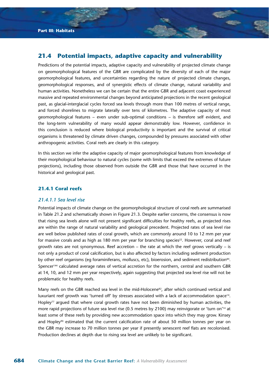# **21.4 Potential impacts, adaptive capacity and vulnerability**

Predictions of the potential impacts, adaptive capacity and vulnerability of projected climate change on geomorphological features of the GBR are complicated by the diversity of each of the major geomorphological features, and uncertainties regarding the nature of projected climate changes, geomorphological responses, and of synergistic effects of climate change, natural variability and human activities. Nonetheless we can be certain that the entire GBR and adjacent coast experienced massive and repeated environmental changes beyond anticipated projections in the recent geological past, as glacial-interglacial cycles forced sea levels through more than 100 metres of vertical range, and forced shorelines to migrate laterally over tens of kilometres. The adaptive capacity of most geomorphological features – even under sub-optimal conditions – is therefore self evident, and the long-term vulnerability of many would appear demonstrably low. However, confidence in this conclusion is reduced where biological productivity is important and the survival of critical organisms is threatened by climate driven changes, compounded by pressures associated with other anthropogenic activities. Coral reefs are clearly in this category.

In this section we infer the adaptive capacity of major geomorphological features from knowledge of their morphological behaviour to natural cycles (some with limits that exceed the extremes of future projections), including those observed from outside the GBR and those that have occurred in the historical and geological past.

#### **21.4.1 Coral reefs**

#### *21.4.1.1 Sea level rise*

Potential impacts of climate change on the geomorphological structure of coral reefs are summarised in Table 21.2 and schematically shown in Figure 21.3. Despite earlier concerns, the consensus is now that rising sea levels alone will not present significant difficulties for healthy reefs, as projected rises are within the range of natural variability and geological precedent. Projected rates of sea level rise are well below published rates of coral growth, which are commonly around 10 to 12 mm per year for massive corals and as high as 180 mm per year for branching species<sup>22</sup>. However, coral and reef growth rates are not synonymous. Reef accretion – the rate at which the reef grows vertically – is not only a product of coral calcification, but is also affected by factors including sediment production by other reef organisms (eg foraminiferans, molluscs, etc), bioerosion, and sediment redistribution<sup>84</sup>. Spencer<sup>144</sup> calculated average rates of vertical accretion for the northern, central and southern GBR at 14, 10, and 12 mm per year respectively, again suggesting that projected sea level rise will not be problematic for healthy reefs.

Many reefs on the GBR reached sea level in the mid-Holocene<sup>82</sup>, after which continued vertical and luxuriant reef growth was 'turned off' by stresses associated with a lack of accommodation space14. Hopley<sup>77</sup> argued that where coral growth rates have not been diminished by human activities, the more rapid projections of future sea level rise (0.5 metres by 2100) may reinvigorate or 'turn on'14 at least some of these reefs by providing new accommodation space into which they may grow. Kinsey and Hopley<sup>90</sup> estimated that the current calcification rate of about 50 million tonnes per year on the GBR may increase to 70 million tonnes per year if presently senescent reef flats are recolonised. Production declines at depth due to rising sea level are unlikely to be significant.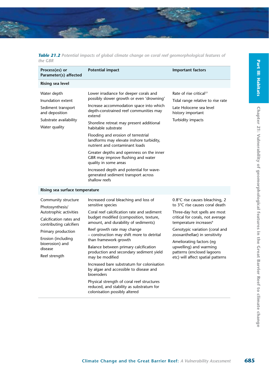

|         |  |  |  | Table 21.2 Potential impacts of global climate change on coral reef geomorphological features of |  |
|---------|--|--|--|--------------------------------------------------------------------------------------------------|--|
| the GBR |  |  |  |                                                                                                  |  |

| Process(es) or<br>Parameter(s) affected                                                                                                                                                                           | <b>Potential impact</b>                                                                                                                                                                                                                                                                                                                                                                                                                                                                                                                                                                                                                 | <b>Important factors</b>                                                                                                                                                                                                                                                                                                                                                |
|-------------------------------------------------------------------------------------------------------------------------------------------------------------------------------------------------------------------|-----------------------------------------------------------------------------------------------------------------------------------------------------------------------------------------------------------------------------------------------------------------------------------------------------------------------------------------------------------------------------------------------------------------------------------------------------------------------------------------------------------------------------------------------------------------------------------------------------------------------------------------|-------------------------------------------------------------------------------------------------------------------------------------------------------------------------------------------------------------------------------------------------------------------------------------------------------------------------------------------------------------------------|
| Rising sea level                                                                                                                                                                                                  |                                                                                                                                                                                                                                                                                                                                                                                                                                                                                                                                                                                                                                         |                                                                                                                                                                                                                                                                                                                                                                         |
| Water depth<br>Inundation extent<br>Sediment transport<br>and deposition<br>Substrate availability<br>Water quality                                                                                               | Lower irradiance for deeper corals and<br>possibly slower growth or even 'drowning'<br>Increase accommodation space into which<br>depth-constrained reef communities may<br>extend<br>Shoreline retreat may present additional<br>habitable substrate<br>Flooding and erosion of terrestrial<br>landforms may elevate inshore turbidity,<br>nutrient and contaminant loads<br>Greater depths and openness on the inner<br>GBR may improve flushing and water<br>quality in some areas<br>Increased depth and potential for wave-<br>generated sediment transport across<br>shallow reefs                                                | Rate of rise critical <sup>77</sup><br>Tidal range relative to rise rate<br>Late Holocene sea level<br>history important<br>Turbidity impacts                                                                                                                                                                                                                           |
| Rising sea surface temperature                                                                                                                                                                                    |                                                                                                                                                                                                                                                                                                                                                                                                                                                                                                                                                                                                                                         |                                                                                                                                                                                                                                                                                                                                                                         |
| Community structure<br>Photosynthesis/<br>Autotrophic activities<br>Calcification rates and<br>contributing calcifiers<br>Primary production<br>Erosion (including<br>bioerosion) and<br>disease<br>Reef strength | Increased coral bleaching and loss of<br>sensitive species<br>Coral reef calcification rate and sediment<br>budget modified (composition, texture,<br>amount, and durability of sediments)<br>Reef growth rate may change<br>– construction may shift more to detrital<br>than framework growth<br>Balance between primary calcification<br>production and secondary sediment yield<br>may be modified<br>Increased bare substratum for colonisation<br>by algae and accessible to disease and<br>bioeroders<br>Physical strength of coral reef structures<br>reduced, and stability as substratum for<br>colonisation possibly altered | 0.8°C rise causes bleaching, 2<br>to 3°C rise causes coral death<br>Three-day hot spells are most<br>critical for corals, not average<br>temperature increases <sup>9</sup><br>Genotypic variation (coral and<br>zooxanthellae) in sensitivity<br>Ameliorating factors (eq<br>upwelling) and warming<br>patterns (enclosed lagoons<br>etc) will affect spatial patterns |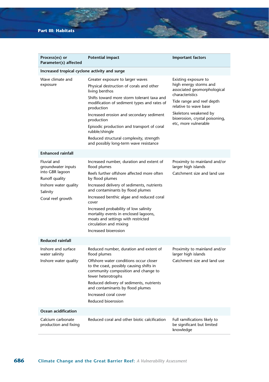| Process(es) or<br>Parameter(s) affected                                                                                          | Potential impact                                                                                                                                                                                                                                                                                                                                                                                                                            | <b>Important factors</b>                                                                                                                                                                                                                  |
|----------------------------------------------------------------------------------------------------------------------------------|---------------------------------------------------------------------------------------------------------------------------------------------------------------------------------------------------------------------------------------------------------------------------------------------------------------------------------------------------------------------------------------------------------------------------------------------|-------------------------------------------------------------------------------------------------------------------------------------------------------------------------------------------------------------------------------------------|
| Increased tropical cyclone activity and surge                                                                                    |                                                                                                                                                                                                                                                                                                                                                                                                                                             |                                                                                                                                                                                                                                           |
| Wave climate and<br>exposure                                                                                                     | Greater exposure to larger waves<br>Physical destruction of corals and other<br>living benthos<br>Shifts toward more storm tolerant taxa and<br>modification of sediment types and rates of<br>production<br>Increased erosion and secondary sediment<br>production<br>Episodic production and transport of coral<br>rubble/shingle<br>Reduced structural complexity, strength<br>and possibly long-term wave resistance                    | Existing exposure to<br>high energy storms and<br>associated geomorphological<br>characteristics<br>Tide range and reef depth<br>relative to wave base<br>Skeletons weakened by<br>bioerosion, crystal poisoning,<br>etc, more vulnerable |
| <b>Enhanced rainfall</b>                                                                                                         |                                                                                                                                                                                                                                                                                                                                                                                                                                             |                                                                                                                                                                                                                                           |
| Fluvial and<br>groundwater inputs<br>into GBR lagoon<br>Runoff quality<br>Inshore water quality<br>Salinity<br>Coral reef growth | Increased number, duration and extent of<br>flood plumes<br>Reefs further offshore affected more often<br>by flood plumes<br>Increased delivery of sediments, nutrients<br>and contaminants by flood plumes<br>Increased benthic algae and reduced coral<br>cover<br>Increased probability of low salinity<br>mortality events in enclosed lagoons,<br>moats and settings with restricted<br>circulation and mixing<br>Increased bioerosion | Proximity to mainland and/or<br>larger high islands<br>Catchment size and land use                                                                                                                                                        |
| <b>Reduced rainfall</b>                                                                                                          |                                                                                                                                                                                                                                                                                                                                                                                                                                             |                                                                                                                                                                                                                                           |
| Inshore and surface<br>water salinity<br>Inshore water quality                                                                   | Reduced number, duration and extent of<br>flood plumes<br>Offshore water conditions occur closer<br>to the coast, possibly causing shifts in<br>community composition and change to<br>fewer heterotrophs<br>Reduced delivery of sediments, nutrients<br>and contaminants by flood plumes<br>Increased coral cover<br>Reduced bioerosion                                                                                                    | Proximity to mainland and/or<br>larger high islands<br>Catchment size and land use                                                                                                                                                        |
| Ocean acidification                                                                                                              |                                                                                                                                                                                                                                                                                                                                                                                                                                             |                                                                                                                                                                                                                                           |
| Calcium carbonate<br>production and fixing                                                                                       | Reduced coral and other biotic calcification                                                                                                                                                                                                                                                                                                                                                                                                | Full ramifications likely to<br>be significant but limited<br>knowledge                                                                                                                                                                   |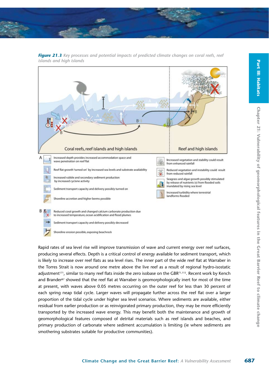



*Figure 21.3 Key processes and potential impacts of predicted climate changes on coral reefs, reef islands and high islands*

Rapid rates of sea level rise will improve transmission of wave and current energy over reef surfaces, producing several effects. Depth is a critical control of energy available for sediment transport, which is likely to increase over reef flats as sea level rises. The inner part of the wide reef flat at Warraber in the Torres Strait is now around one metre above the live reef as a result of regional hydro-isostatic adjustment<sup>171</sup>, similar to many reef flats inside the zero isobase on the GBR<sup>71,115</sup>. Recent work by Kench and Brander<sup>87</sup> showed that the reef flat at Warraber is geomorphologically inert for most of the time at present, with waves above 0.05 metres occurring on the outer reef for less than 30 percent of each spring neap tidal cycle. Larger waves will propagate further across the reef flat over a larger proportion of the tidal cycle under higher sea level scenarios. Where sediments are available, either residual from earlier production or as reinvigorated primary production, they may be more efficiently transported by the increased wave energy. This may benefit both the maintenance and growth of geomorphological features composed of detrital materials such as reef islands and beaches, and primary production of carbonate where sediment accumulation is limiting (ie where sediments are smothering substrates suitable for productive communities).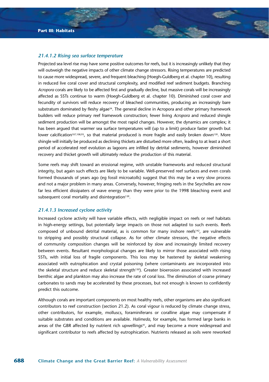#### *21.4.1.2 Rising sea surface temperature*

Projected sea level rise may have some positive outcomes for reefs, but it is increasingly unlikely that they will outweigh the negative impacts of other climate change stressors. Rising temperatures are predicted to cause more widespread, severe, and frequent bleaching (Hoegh-Guldberg et al. chapter 10), resulting in reduced live coral cover and structural complexity, and modified reef sediment budgets. Branching *Acropora* corals are likely to be affected first and gradually decline, but massive corals will be increasingly affected as SSTs continue to warm (Hoegh-Guldberg et al. chapter 10). Diminished coral cover and fecundity of survivors will reduce recovery of bleached communities, producing an increasingly bare substratum dominated by fleshy algae<sup>34</sup>. The general decline in Acropora and other primary framework builders will reduce primary reef framework construction; fewer living *Acropora* and reduced shingle sediment production will be amongst the most rapid changes. However, the dynamics are complex; it has been argued that warmer sea surface temperatures will (up to a limit) produce faster growth but lower calcification<sup>107,108,93</sup>, so that material produced is more fragile and easily broken down<sup>139</sup>. More shingle will initially be produced as declining thickets are disturbed more often, leading to at least a short period of accelerated reef evolution as lagoons are infilled by detrital sediments, however diminished recovery and thicket growth will ultimately reduce the production of this material.

Some reefs may shift toward an erosional regime, with unstable frameworks and reduced structural integrity, but again such effects are likely to be variable. Well-preserved reef surfaces and even corals formed thousands of years ago (eg fossil microatolls) suggest that this may be a very slow process and not a major problem in many areas. Conversely, however, fringing reefs in the Seychelles are now far less efficient dissipaters of wave energy than they were prior to the 1998 bleaching event and subsequent coral mortality and disintegration<sup>139</sup>.

#### *21.4.1.3 Increased cyclone activity*

Increased cyclone activity will have variable effects, with negligible impact on reefs or reef habitats in high-energy settings, but potentially large impacts on those not adapted to such events. Reefs composed of unbound detrital material, as is common for many inshore reefs<sup>142</sup>, are vulnerable to stripping and possibly structural collapse. As for other climate stressors, the negative effects of community composition changes will be reinforced by slow and increasingly limited recovery between events. Resultant morphological changes are likely to mirror those associated with rising SSTs, with initial loss of fragile components. This loss may be hastened by skeletal weakening associated with eutrophication and crystal poisoning (where contaminants are incorporated into the skeletal structure and reduce skeletal strength<sup>130</sup>). Greater bioerosion associated with increased benthic algae and plankton may also increase the rate of coral loss. The diminution of coarse primary carbonates to sands may be accelerated by these processes, but not enough is known to confidently predict this outcome.

Although corals are important components on most healthy reefs, other organisms are also significant contributors to reef construction (section 21.2). As coral vigour is reduced by climate change stress, other contributors, for example, molluscs, foraminiferans or coralline algae may compensate if suitable substrates and conditions are available. *Halimeda*, for example, has formed large banks in areas of the GBR affected by nutrient rich upwellings<sup>41</sup>, and may become a more widespread and significant contributor to reefs affected by eutrophication. Nutrients released as soils were reworked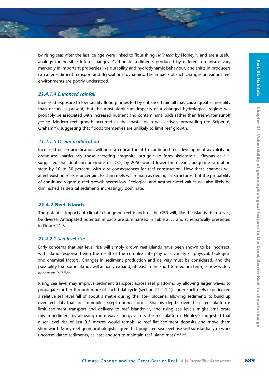by rising seas after the last ice age were linked to flourishing *Halimeda* by Hopley<sup>76</sup>, and are a useful analogy for possible future changes. Carbonate sediments produced by different organisms vary markedly in important properties like durability and hydrodynamic behaviour, and shifts in producers can alter sediment transport and depositional dynamics. The impacts of such changes on various reef environments are poorly understood.

#### *21.4.1.4 Enhanced rainfall*

Increased exposure to low salinity flood plumes fed by enhanced rainfall may cause greater mortality than occurs at present, but the most significant impacts of a changed hydrological regime will probably be associated with increased nutrient and contaminant loads rather than freshwater runoff per se. Modern reef growth occurred as the coastal plain was actively prograding (eg Belperio<sup>7</sup>, Graham56), suggesting that floods themselves are unlikely to limit reef growth.

### *21.4.1.5 Ocean acidification*

Increased ocean acidification will pose a critical threat to continued reef development as calcifying organisms, particularly those secreting aragonite, struggle to form skeletons<sup>131</sup>. Kleypas et al.<sup>91</sup> suggested that doubling pre-industrial  $CO<sub>2</sub>$  by 2050 would lower the ocean's aragonite saturation state by 10 to 30 percent, with dire consequences for reef construction. How these changes will affect existing reefs is uncertain. Existing reefs will remain as geological structures, but the probability of continued vigorous reef growth seems low. Ecological and aesthetic reef values will also likely be diminished as detrital sediments increasingly dominate.

#### **21.4.2 Reef islands**

The potential impacts of climate change on reef islands of the GBR will, like the islands themselves, be diverse. Anticipated potential impacts are summarised in Table 21.3 and schematically presented in Figure 21.3.

# *21.4.2.1 Sea level rise*

Early concerns that sea level rise will simply drown reef islands have been shown to be incorrect, with island response being the result of the complex interplay of a variety of physical, biological and chemical factors. Changes in sediment production and delivery must be considered, and the possibility that some islands will actually expand, at least in the short to medium term, is now widely accepted106,75,77,88.

Rising sea level may improve sediment transport across reef platforms by allowing larger waves to propagate further through more of each tidal cycle (section 21.4.1.1). Inner shelf reefs experienced a relative sea level fall of about a metre during the late-Holocene, allowing sediments to build up over reef flats that are immobile except during storms. Shallow depths over these reef platforms limit sediment transport and delivery to reef islands<sup>77,87</sup>, and rising sea levels might ameliorate this impediment by allowing more wave energy across the reef platform. Hopley<sup>75</sup> suggested that a sea level rise of just 0.5 metres would remobilise reef flat sediment deposits and move them shoreward. Many reef geomorphologists agree that projected sea level rise will substantially re-work unconsolidated sediments, at least enough to maintain reef island mass<sup>104,75,88</sup>.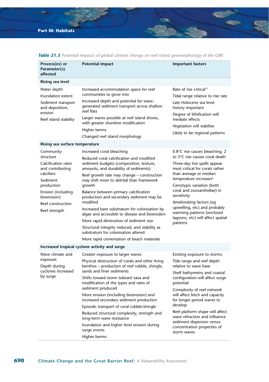| Process(es) or<br>Parameter(s)<br>affected                                                                                                                                           | Potential impact                                                                                                                                                                                                                                                                                                                                                                                                                                                                                                                                                                                                                                   | <b>Important factors</b>                                                                                                                                                                                                                                                                                                                                                                                                           |
|--------------------------------------------------------------------------------------------------------------------------------------------------------------------------------------|----------------------------------------------------------------------------------------------------------------------------------------------------------------------------------------------------------------------------------------------------------------------------------------------------------------------------------------------------------------------------------------------------------------------------------------------------------------------------------------------------------------------------------------------------------------------------------------------------------------------------------------------------|------------------------------------------------------------------------------------------------------------------------------------------------------------------------------------------------------------------------------------------------------------------------------------------------------------------------------------------------------------------------------------------------------------------------------------|
| Rising sea level                                                                                                                                                                     |                                                                                                                                                                                                                                                                                                                                                                                                                                                                                                                                                                                                                                                    |                                                                                                                                                                                                                                                                                                                                                                                                                                    |
| Water depth<br>Inundation extent<br>Sediment transport<br>and deposition,<br>erosion<br>Reef island stability                                                                        | Increased accommodation space for reef<br>communities to grow into<br>Increased depth and potential for wave-<br>generated sediment transport across shallow<br>reef flats<br>Larger waves possible at reef island shores,<br>with greater shoreline modification<br>Higher berms<br>Changed reef island morphology                                                                                                                                                                                                                                                                                                                                | Rate of rise critical <sup>77</sup><br>Tidal range relative to rise rate<br>Late Holocene sea level<br>history important<br>Degree of lithification will<br>mediate effects<br>Vegetation will stabilise<br>Likely to be regional patterns                                                                                                                                                                                         |
| Rising sea surface temperature                                                                                                                                                       |                                                                                                                                                                                                                                                                                                                                                                                                                                                                                                                                                                                                                                                    |                                                                                                                                                                                                                                                                                                                                                                                                                                    |
| Community<br>structure<br>Calcification rates<br>and contributing<br>calcifiers<br>Sediment<br>production<br>Erosion (including<br>bioerosion)<br>Reef construction<br>Reef strength | Increased coral bleaching<br>Reduced coral calcification and modified<br>sediment budgets (composition, texture,<br>amounts, and durability of sediments)<br>Reef growth rate may change - construction<br>may shift more to detrital than framework<br>growth<br>Balance between primary calcification<br>production and secondary sediment may be<br>modified<br>Increased bare substratum for colonisation by<br>algae and accessible to disease and bioeroders<br>More rapid diminution of sediment size<br>Structural integrity reduced, and stability as<br>substratum for colonisation altered<br>More rapid cementation of beach materials | $0.8^{\circ}$ C rise causes bleaching, 2<br>to 3°C rise causes coral death<br>Three-day hot spells appear<br>most critical for corals rather<br>than average or median<br>temperature increases <sup>9</sup><br>Genotypic variation (both<br>coral and zooxanthellae) in<br>sensitivity<br>Ameliorating factors (eg<br>upwelling, etc) and probably<br>warming patterns (enclosed<br>lagoons, etc) will affect spatial<br>patterns |
|                                                                                                                                                                                      | Increased tropical cyclone activity and surge                                                                                                                                                                                                                                                                                                                                                                                                                                                                                                                                                                                                      |                                                                                                                                                                                                                                                                                                                                                                                                                                    |
| Wave climate and<br>exposure<br>Depth during<br>cyclones increased<br>by surge                                                                                                       | Greater exposure to larger waves<br>Physical destruction of corals and other living<br>benthos - production of reef rubble, shingle,<br>sands and finer sediments<br>Shifts toward storm tolerant taxa and<br>modification of the types and rates of<br>sediment produced<br>More erosion (including bioerosion) and<br>increased secondary sediment production<br>Episodic transport of coral rubble/shingle<br>Reduced structural complexity, strength and<br>long-term wave resistance<br>Inundation and higher level erosion during<br>surge events                                                                                            | Existing exposure to storms<br>Tide range and reef depth<br>relative to wave base<br>Shelf bathymetry and coastal<br>configuration will affect surge<br>potential<br>Complexity of reef network<br>will affect fetch and capacity<br>for longer period waves to<br>develop<br>Reef platform shape will affect<br>wave refraction and influence<br>sediment dispersion versus<br>concentration properties of<br>storm waves         |
|                                                                                                                                                                                      | Higher berms                                                                                                                                                                                                                                                                                                                                                                                                                                                                                                                                                                                                                                       |                                                                                                                                                                                                                                                                                                                                                                                                                                    |

*Table 21.3 Potential impacts of global climate change on reef island geomorphology of the GBR*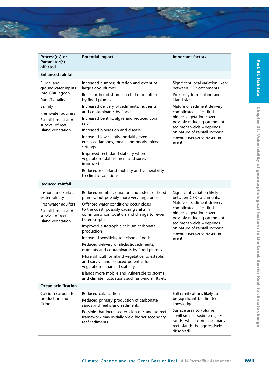

| Process(es) or<br>Parameter(s)<br>affected                                                                                                                              | <b>Potential impact</b>                                                                                                                                                                                                                                                                                                                                                                                                                                                                                                                                                                                                                                                         | <b>Important factors</b>                                                                                                                                                                                                                                                                                                              |  |
|-------------------------------------------------------------------------------------------------------------------------------------------------------------------------|---------------------------------------------------------------------------------------------------------------------------------------------------------------------------------------------------------------------------------------------------------------------------------------------------------------------------------------------------------------------------------------------------------------------------------------------------------------------------------------------------------------------------------------------------------------------------------------------------------------------------------------------------------------------------------|---------------------------------------------------------------------------------------------------------------------------------------------------------------------------------------------------------------------------------------------------------------------------------------------------------------------------------------|--|
| <b>Enhanced rainfall</b>                                                                                                                                                |                                                                                                                                                                                                                                                                                                                                                                                                                                                                                                                                                                                                                                                                                 |                                                                                                                                                                                                                                                                                                                                       |  |
| Fluvial and<br>groundwater inputs<br>into GBR lagoon<br>Runoff quality<br>Salinity<br>Freshwater aquifers<br>Establishment and<br>survival of reef<br>island vegetation | Increased number, duration and extent of<br>large flood plumes<br>Reefs further offshore affected more often<br>by flood plumes<br>Increased delivery of sediments, nutrients<br>and contaminants by floods<br>Increased benthic algae and reduced coral<br>cover<br>Increased bioerosion and disease<br>Increased low salinity mortality events in<br>enclosed lagoons, moats and poorly mixed<br>settings<br>Improved reef island stability where<br>vegetation establishment and survival<br>improved<br>Reduced reef island mobility and vulnerability<br>to climate variations                                                                                             | Significant local variation likely<br>between GBR catchments<br>Proximity to mainland and<br>island size<br>Nature of sediment delivery<br>complicated - first flush,<br>higher vegetation cover<br>possibly reducing catchment<br>sediment yields - depends<br>on nature of rainfall increase<br>- even increase or extreme<br>event |  |
| <b>Reduced rainfall</b>                                                                                                                                                 |                                                                                                                                                                                                                                                                                                                                                                                                                                                                                                                                                                                                                                                                                 |                                                                                                                                                                                                                                                                                                                                       |  |
| Inshore and surface<br>water salinity<br>Freshwater aquifers<br>Establishment and<br>survival of reef<br>island vegetation                                              | Reduced number, duration and extent of flood<br>plumes, but possibly more very large ones<br>Offshore water conditions occur closer<br>to the coast, possibly causing shifts in<br>community composition and change to fewer<br>heterotrophs<br>Improved autotrophic calcium carbonate<br>production<br>Increased sensitivity to episodic floods<br>Reduced delivery of siliclastic sediments,<br>nutrients and contaminants by flood plumes<br>More difficult for island vegetation to establish<br>and survive and reduced potential for<br>vegetation enhanced stability<br>Islands more mobile and vulnerable to storms<br>and climate fluctuations such as wind shifts etc | Significant variation likely<br>between GBR catchments.<br>Nature of sediment delivery<br>complicated - first flush,<br>higher vegetation cover<br>possibly reducing catchment<br>sediment yields - depends<br>on nature of rainfall increase<br>– even increase or extreme<br>event                                                  |  |
| Ocean acidification<br>Calcium carbonate<br>production and<br>fixing                                                                                                    | Reduced calcification<br>Reduced primary production of carbonate<br>sands and reef island sediments<br>Possible that increased erosion of standing reef<br>framework may initially yield higher secondary<br>reef sediments                                                                                                                                                                                                                                                                                                                                                                                                                                                     | Full ramifications likely to<br>be significant but limited<br>knowledge<br>Surface area to volume<br>- will smaller sediments, like<br>sands, which dominate many<br>reef islands, be aggressively<br>dissolved?                                                                                                                      |  |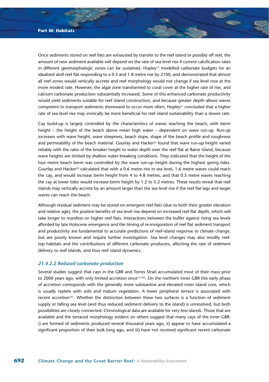Once sediments stored on reef flats are exhausted by transfer to the reef island or possibly off reef, the amount of new sediment available will depend on the rate of sea level rise if current calcification rates in different geomorphologic zones can be sustained. Hopley<sup>77</sup> modelled carbonate budgets for an idealised atoll reef flat responding to a 0.5 and 1.8 metre rise by 2100, and demonstrated that almost all reef zones would vertically accrete and reef morphology would not change if sea level rose at the more modest rate. However, the algal zone transformed to coral cover at the higher rate of rise, and calcium carbonate production substantially increased. Some of this enhanced carbonate productivity would yield sediments suitable for reef island construction, and because greater depth allows waves competent to transport sediments shoreward to occur more often, Hopley<sup>77</sup> concluded that a higher rate of sea level rise may ironically be more beneficial for reef island sustainability than a slower rate.

Cay build-up is largely controlled by the characteristics of waves reaching the beach, with berm height – the height of the beach above mean high water – dependent on wave run-up. Run-up increases with wave height, wave steepness, beach slope, shape of the beach profile and roughness and permeability of the beach material. Gourlay and Hacker<sup>55</sup> found that wave run-up height varied reliably with the ratio of the breaker height to water depth over the reef flat at Raine Island, because wave heights are limited by shallow water breaking conditions. They indicated that the height of the four metre beach berm was controlled by the wave run-up height during the highest spring tides. Gourlay and Hacker<sup>55</sup> calculated that with a 0.6 metre rise in sea level, 1.6 metre waves could reach the cay, and would increase berm height from 4 to 4.8 metres, and that 0.5 metre waves reaching the cay at lower tides would increase berm height by 1.2 to 5.2 metres. These results reveal that reef islands may vertically accrete by an amount larger than the sea level rise if the reef flat lags and larger waves can reach the beach.

Although residual sediment may be stored on emergent reef flats (due to both their greater elevation and relative age), the positive benefits of sea level rise depend on increased reef flat depth, which will take longer to manifest on higher reef flats. Interactions between the buffer against rising sea levels afforded by late Holocene emergence and the timing of re-invigoration of reef flat sediment transport and productivity are fundamental to accurate predictions of reef-island response to climate change, but are poorly known and require further investigation. Sea level changes may also modify reeftop habitats and the contributions of different carbonate producers, affecting the rate of sediment delivery to reef islands, and thus reef island dynamics.

#### *21.4.2.2 Reduced carbonate production*

Several studies suggest that cays in the GBR and Torres Strait accumulated most of their mass prior to 2000 years ago, with only limited accretion since<sup>13,166</sup>. On the northern inner GBR this early phase of accretion corresponds with the generally more substantive and elevated inner island core, which is usually replete with soils and mature vegetation. A lower peripheral terrace is associated with recent accretion<sup>147</sup>. Whether the distinction between these two surfaces is a function of sediment supply or falling sea level (and thus reduced sediment delivery to the island) is unresolved, but both possibilities are closely connected. Chronological data are available for very few islands. Those that are available and the terraced morphology evident on others suggest that many cays of the inner GBR: i) are formed of sediments produced several thousand years ago, ii) appear to have accumulated a significant proportion of their bulk long ago, and iii) have not received significant recent carbonate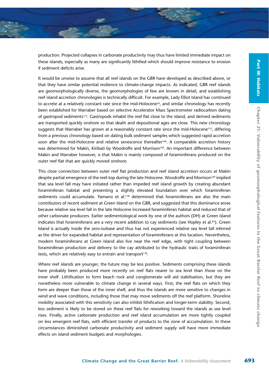production. Projected collapses in carbonate productivity may thus have limited immediate impact on these islands, especially as many are significantly lithified which should improve resistance to erosion if sediment deficits arise.

It would be unwise to assume that all reef islands on the GBR have developed as described above, or that they have similar potential resilience to climate-change impacts. As indicated, GBR reef islands are geomorphologically diverse, the geomorphologies of few are known in detail, and establishing reef island accretion chronologies is technically difficult. For example, Lady Elliot Island has continued to accrete at a relatively constant rate since the mid-Holocene<sup>24</sup>, and similar chronology has recently been established for Warraber based on selective Accelerator Mass Spectrometer radiocarbon dating of gastropod sediments<sup>172</sup>. Gastropods inhabit the reef flat close to the island, and derived sediments are transported quickly onshore so that death and depositional ages are close. This new chronology suggests that Warraber has grown at a reasonably constant rate since the mid-Holocene<sup>135</sup>, differing from a previous chronology based on dating bulk sediment samples which suggested rapid accretion soon after the mid-Holocene and relative senescence thereafter<sup>166</sup>. A comparable accretion history was determined for Makin, Kiribati by Woodroffe and Morrison<sup>169</sup>. An important difference between Makin and Warraber however, is that Makin is mainly composed of foraminiferans produced on the outer reef flat that are quickly moved onshore.

This close connection between outer reef flat production and reef island accretion occurs at Makin despite partial emergence of the reef-top during the late Holocene. Woodroffe and Morrison<sup>169</sup> implied that sea level fall may have initiated rather than impeded reef island growth by creating abundant foraminiferan habitat and presenting a slightly elevated foundation over which foraminiferan sediments could accumulate. Yamano et al.<sup>178</sup> determined that foraminiferans are also the main contributors of recent sediment at Green Island on the GBR, and suggested that this dominance arose because relative sea level fall in the late Holocene increased foraminiferan habitat and reduced that of other carbonate producers. Earlier sedimentological work by one of the authors (DH) at Green Island indicates that foraminiferans are a very recent addition to cay sediments (see Hopley et al.82). Green Island is actually inside the zero-isobase and thus has not experienced relative sea level fall inferred as the driver for expanded habitat and representation of foraminiferans at this location. Nevertheless, modern foraminiferans at Green Island also live near the reef edge, with tight coupling between foraminiferan production and delivery to the cay attributed to the hydraulic traits of foraminiferan tests, which are relatively easy to entrain and transport<sup>178</sup>.

Where reef islands are younger, the future may be less positive. Sediments comprising these islands have probably been produced more recently on reef flats nearer to sea level than those on the inner shelf. Lithification to form beach rock and conglomerate will aid stabilisation, but they are nonetheless more vulnerable to climate change in several ways. First, the reef flats on which they form are deeper than those of the inner shelf, and thus the islands are more sensitive to changes in wind and wave conditions, including those that may move sediments off the reef platform. Shoreline mobility associated with this sensitivity can also inhibit lithification and longer-term stability. Second, less sediment is likely to be stored on these reef flats for reworking toward the islands as sea level rises. Finally, active carbonate production and reef island accumulation are more tightly coupled on less emergent reef flats, with efficient transfer of products to the zone of accumulation. In these circumstances diminished carbonate productivity and sediment supply will have more immediate effects on island sediment budgets and morphologies.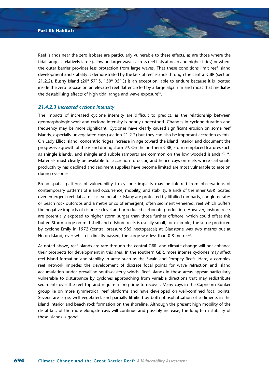Reef islands near the zero isobase are particularly vulnerable to these effects, as are those where the tidal range is relatively large (allowing larger waves across reef flats at neap and higher tides) or where the outer barrier provides less protection from large waves. That these conditions limit reef island development and stability is demonstrated by the lack of reef islands through the central GBR (section 21.2.2). Bushy Island (20º 57' S, 150º 05' E) is an exception, able to endure because it is located inside the zero isobase on an elevated reef flat encircled by a large algal rim and moat that mediates the destabilising effects of high tidal range and wave exposure<sup>70</sup>.

# *21.4.2.3 Increased cyclone intensity*

The impacts of increased cyclone intensity are difficult to predict, as the relationship between geomorphologic work and cyclone intensity is poorly understood. Changes in cyclone duration and frequency may be more significant. Cyclones have clearly caused significant erosion on some reef islands, especially unvegetated cays (section 21.2.2) but they can also be important accretion events. On Lady Elliot Island, concentric ridges increase in age toward the island interior and document the progressive growth of the island during storms<sup>24</sup>. On the northern GBR, storm-emplaced features such as shingle islands, and shingle and rubble ramparts are common on the low wooded islands<sup>147,148</sup>. Materials must clearly be available for accretion to occur, and hence cays on reefs where carbonate productivity has declined and sediment supplies have become limited are most vulnerable to erosion during cyclones.

Broad spatial patterns of vulnerability to cyclone impacts may be inferred from observations of contemporary patterns of island occurrence, mobility, and stability. Islands of the inner GBR located over emergent reef flats are least vulnerable. Many are protected by lithified ramparts, conglomerates or beach rock outcrops and a metre or so of emergent, often sediment veneered, reef which buffers the negative impacts of rising sea level and or reduced carbonate production. However, inshore reefs are potentially exposed to higher storm surges than those further offshore, which could offset this buffer. Storm surge on mid-shelf and offshore reefs is usually small, for example, the surge produced by cyclone Emily in 1972 (central pressure 985 hectopascal) at Gladstone was two metres but at Heron Island, over which it directly passed, the surge was less than 0.8 metres<sup>66</sup>.

As noted above, reef islands are rare through the central GBR, and climate change will not enhance their prospects for development in this area. In the southern GBR, more intense cyclones may affect reef island formation and stability in areas such as the Swain and Pompey Reefs. Here, a complex reef network impedes the development of discrete focal points for wave refraction and island accumulation under prevailing south-easterly winds. Reef islands in these areas appear particularly vulnerable to disturbance by cyclones approaching from variable directions that may redistribute sediments over the reef top and require a long time to recover. Many cays in the Capricorn Bunker group lie on more symmetrical reef platforms and have developed on well-confined focal points. Several are large, well vegetated, and partially lithified by both phosphatisation of sediments in the island interior and beach rock formation on the shoreline. Although the present high mobility of the distal tails of the more elongate cays will continue and possibly increase, the long-term stability of these islands is good.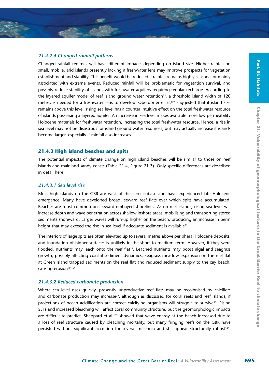# *21.4.2.4 Changed rainfall patterns*

Changed rainfall regimes will have different impacts depending on island size. Higher rainfall on small, mobile, arid islands presently lacking a freshwater lens may improve prospects for vegetation establishment and stability. This benefit would be reduced if rainfall remains highly seasonal or mainly associated with extreme events. Reduced rainfall will be problematic for vegetation survival, and possibly reduce stability of islands with freshwater aquifers requiring regular recharge. According to the layered aquifer model of reef island ground water retention<sup>15</sup>, a threshold island width of 120 metres is needed for a freshwater lens to develop. Oberdorfer et al.<sup>122</sup> suggested that if island size remains above this level, rising sea level has a counter intuitive effect on the total freshwater resource of islands possessing a layered aquifer. An increase in sea level makes available more low permeability Holocene materials for freshwater retention, increasing the total freshwater resource. Hence, a rise in sea level may not be disastrous for island ground water resources, but may actually increase if islands become larger, especially if rainfall also increases.

### **21.4.3 High island beaches and spits**

The potential impacts of climate change on high island beaches will be similar to those on reef islands and mainland sandy coasts (Table 21.4, Figure 21.3). Only specific differences are described in detail here.

# *21.4.3.1 Sea level rise*

Most high islands on the GBR are west of the zero isobase and have experienced late Holocene emergence. Many have developed broad leeward reef flats over which spits have accumulated. Beaches are most common on leeward embayed shorelines. As on reef islands, rising sea level will increase depth and wave penetration across shallow inshore areas, mobilising and transporting stored sediments shoreward. Larger waves will run-up higher on the beach, producing an increase in berm height that may exceed the rise in sea level if adequate sediment is available<sup>55</sup>.

The interiors of large spits are often elevated up to several metres above peripheral Holocene deposits, and inundation of higher surfaces is unlikely in the short to medium term. However, if they were flooded, nutrients may leach onto the reef flat<sup>23</sup>. Leached nutrients may boost algal and seagrass growth, possibly affecting coastal sediment dynamics. Seagrass meadow expansion on the reef flat at Green Island trapped sediments on the reef flat and reduced sediment supply to the cay beach, causing erosion<sup>70,154</sup>.

# *21.4.3.2 Reduced carbonate production*

Where sea level rises quickly, presently unproductive reef flats may be recolonised by calcifiers and carbonate production may increase<sup>77</sup>, although as discussed for coral reefs and reef islands, if projections of ocean acidification are correct calcifying organisms will struggle to survive<sup>93</sup>. Rising SSTs and increased bleaching will affect coral community structure, but the geomorphologic impacts are difficult to predict. Sheppard et al.<sup>139</sup> showed that wave energy at the beach increased due to a loss of reef structure caused by bleaching mortality, but many fringing reefs on the GBR have persisted without significant accretion for several millennia and still appear structurally robust<sup>143</sup>.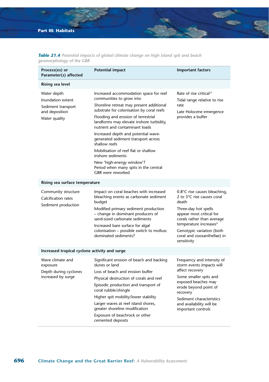| Process(es) or<br>Parameter(s) affected                                                   | <b>Potential impact</b>                                                                                                                                                                                                                                                                                                                                                                                                                                                                                                                 | <b>Important factors</b>                                                                                                                                                                                                                                               |
|-------------------------------------------------------------------------------------------|-----------------------------------------------------------------------------------------------------------------------------------------------------------------------------------------------------------------------------------------------------------------------------------------------------------------------------------------------------------------------------------------------------------------------------------------------------------------------------------------------------------------------------------------|------------------------------------------------------------------------------------------------------------------------------------------------------------------------------------------------------------------------------------------------------------------------|
| Rising sea level                                                                          |                                                                                                                                                                                                                                                                                                                                                                                                                                                                                                                                         |                                                                                                                                                                                                                                                                        |
| Water depth<br>Inundation extent<br>Sediment transport<br>and deposition<br>Water quality | Increased accommodation space for reef<br>communities to grow into<br>Shoreline retreat may present additional<br>substrate for colonisation by coral reefs<br>Flooding and erosion of terrestrial<br>landforms may elevate inshore turbidity,<br>nutrient and contaminant loads<br>Increased depth and potential wave-<br>generated sediment transport across<br>shallow reefs<br>Mobilisation of reef flat or shallow<br>inshore sediments<br>New 'high-energy window'?<br>Period when many spits in the central<br>GBR were reworked | Rate of rise critical <sup>77</sup><br>Tidal range relative to rise<br>rate<br>Late Holocene emergence<br>provides a buffer                                                                                                                                            |
| Rising sea surface temperature                                                            |                                                                                                                                                                                                                                                                                                                                                                                                                                                                                                                                         |                                                                                                                                                                                                                                                                        |
| Community structure<br>Calcification rates<br>Sediment production                         | Impact on coral beaches with increased<br>bleaching events as carbonate sediment<br>budget<br>Modified primary sediment production<br>- change in dominant producers of<br>sand-sized carbonate sediments<br>Increased bare surface for algal<br>colonisation - possible switch to mollusc<br>dominated sediments?                                                                                                                                                                                                                      | 0.8°C rise causes bleaching,<br>2 to 3°C rise causes coral<br>death<br>Three-day hot spells<br>appear most critical for<br>corals rather than average<br>temperature increases <sup>9</sup><br>Genotypic variation (both<br>coral and zooxanthellae) in<br>sensitivity |
| Increased tropical cyclone activity and surge                                             |                                                                                                                                                                                                                                                                                                                                                                                                                                                                                                                                         |                                                                                                                                                                                                                                                                        |
| Wave climate and<br>exposure<br>Depth during cyclones<br>increased by surge               | Significant erosion of beach and backing<br>dunes or land<br>Loss of beach and erosion buffer<br>Physical destruction of corals and reef<br>Episodic production and transport of<br>coral rubble/shingle<br>Higher spit mobility/lower stability<br>Larger waves at reef island shores,<br>greater shoreline modification<br>Exposure of beachrock or other<br>cemented deposits                                                                                                                                                        | Frequency and intensity of<br>storm events impacts will<br>affect recovery<br>Some smaller spits and<br>exposed beaches may<br>erode beyond point of<br>recovery<br>Sediment characteristics<br>and availability will be<br>important controls                         |

| <b>Table 21.4</b> Potential impacts of global climate change on high island spit and beach |  |  |  |  |  |  |
|--------------------------------------------------------------------------------------------|--|--|--|--|--|--|
| geomorphology of the GBR                                                                   |  |  |  |  |  |  |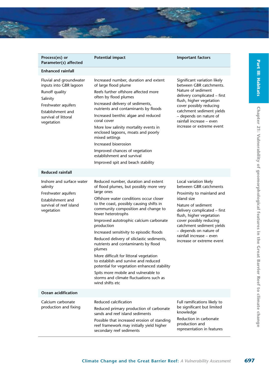

| Process(es) or<br>Parameter(s) affected                                                                                                                           | <b>Potential impact</b>                                                                                                                                                                                                                                                                                                                                                                                                                                                                                                                                                                                                                                                                  | <b>Important factors</b>                                                                                                                                                                                                                                                                                                  |
|-------------------------------------------------------------------------------------------------------------------------------------------------------------------|------------------------------------------------------------------------------------------------------------------------------------------------------------------------------------------------------------------------------------------------------------------------------------------------------------------------------------------------------------------------------------------------------------------------------------------------------------------------------------------------------------------------------------------------------------------------------------------------------------------------------------------------------------------------------------------|---------------------------------------------------------------------------------------------------------------------------------------------------------------------------------------------------------------------------------------------------------------------------------------------------------------------------|
| <b>Enhanced rainfall</b>                                                                                                                                          |                                                                                                                                                                                                                                                                                                                                                                                                                                                                                                                                                                                                                                                                                          |                                                                                                                                                                                                                                                                                                                           |
| Fluvial and groundwater<br>inputs into GBR lagoon<br>Runoff quality<br>Salinity<br>Freshwater aquifers<br>Establishment and<br>survival of littoral<br>vegetation | Increased number, duration and extent<br>of large flood plume<br>Reefs further offshore affected more<br>often by flood plumes<br>Increased delivery of sediments,<br>nutrients and contaminants by floods<br>Increased benthic algae and reduced<br>coral cover<br>More low salinity mortality events in<br>enclosed lagoons, moats and poorly<br>mixed settings<br>Increased bioerosion<br>Improved chances of vegetation<br>establishment and survival<br>Improved spit and beach stability                                                                                                                                                                                           | Significant variation likely<br>between GBR catchments.<br>Nature of sediment<br>delivery complicated – first<br>flush, higher vegetation<br>cover possibly reducing<br>catchment sediment yields<br>- depends on nature of<br>rainfall increase - even<br>increase or extreme event                                      |
| <b>Reduced rainfall</b>                                                                                                                                           |                                                                                                                                                                                                                                                                                                                                                                                                                                                                                                                                                                                                                                                                                          |                                                                                                                                                                                                                                                                                                                           |
| Inshore and surface water<br>salinity<br>Freshwater aquifers<br>Establishment and<br>survival of reef island<br>vegetation                                        | Reduced number, duration and extent<br>of flood plumes, but possibly more very<br>large ones<br>Offshore water conditions occur closer<br>to the coast, possibly causing shifts in<br>community composition and change to<br>fewer heterotrophs<br>Improved autotrophic calcium carbonate<br>production<br>Increased sensitivity to episodic floods<br>Reduced delivery of siliclastic sediments,<br>nutrients and contaminants by flood<br>plumes<br>More difficult for littoral vegetation<br>to establish and survive and reduced<br>potential for vegetation enhanced stability<br>Spits more mobile and vulnerable to<br>storms and climate fluctuations such as<br>wind shifts etc | Local variation likely<br>between GBR catchments<br>Proximity to mainland and<br>island size<br>Nature of sediment<br>delivery complicated – first<br>flush, higher vegetation<br>cover possibly reducing<br>catchment sediment yields<br>- depends on nature of<br>rainfall increase - even<br>increase or extreme event |
| Ocean acidification                                                                                                                                               |                                                                                                                                                                                                                                                                                                                                                                                                                                                                                                                                                                                                                                                                                          |                                                                                                                                                                                                                                                                                                                           |
| Calcium carbonate<br>production and fixing                                                                                                                        | Reduced calcification<br>Reduced primary production of carbonate<br>sands and reef island sediments<br>Possible that increased erosion of standing<br>reef framework may initially yield higher<br>secondary reef sediments                                                                                                                                                                                                                                                                                                                                                                                                                                                              | Full ramifications likely to<br>be significant but limited<br>knowledge<br>Reduction in carbonate<br>production and<br>representation in features                                                                                                                                                                         |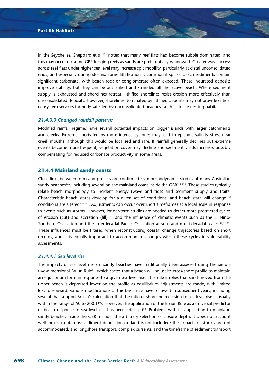In the Seychelles, Sheppard et al.<sup>139</sup> noted that many reef flats had become rubble dominated, and this may occur on some GBR fringing reefs as sands are preferentially winnowed. Greater wave access across reef flats under higher sea level may increase spit mobility, particularly at distal unconsolidated ends, and especially during storms. Some lithification is common if spit or beach sediments contain significant carbonate, with beach rock or conglomerate often exposed. These indurated deposits improve stability, but they can be outflanked and stranded off the active beach. Where sediment supply is exhausted and shorelines retreat, lithified shorelines resist erosion more effectively than unconsolidated deposits. However, shorelines dominated by lithified deposits may not provide critical ecosystem services formerly satisfied by unconsolidated beaches, such as turtle nesting habitat.

# *21.4.3.3 Changed rainfall patterns*

Modified rainfall regimes have several potential impacts on bigger islands with larger catchments and creeks. Extreme floods fed by more intense cyclones may lead to episodic salinity stress near creek mouths, although this would be localised and rare. If rainfall generally declines but extreme events become more frequent, vegetation cover may decline and sediment yields increase, possibly compensating for reduced carbonate productivity in some areas.

#### **21.4.4 Mainland sandy coasts**

Close links between form and process are confirmed by morphodynamic studies of many Australian sandy beaches<sup>140</sup>, including several on the mainland coast inside the GBR<sup>112,113</sup>. These studies typically relate beach morphology to incident energy (wave and tide) and sediment supply and traits. Characteristic beach states develop for a given set of conditions, and beach state will change if conditions are altered176,141. Adjustments can occur over short timeframes at a local scale in response to events such as storms. However, longer-term studies are needed to detect more protracted cycles of erosion (cut) and accretion (fill)<sup>105</sup>, and the influence of climatic events such as the El Niño-Southern Oscillation and the Interdecadal Pacific Oscillation at sub- and multi-decadal scales<sup>129,52,53</sup>. These influences must be filtered when reconstructing coastal change trajectories based on short records, and it is equally important to accommodate changes within these cycles in vulnerability assessments.

# *21.4.4.1 Sea level rise*

The impacts of sea level rise on sandy beaches have traditionally been assessed using the simple two-dimensional Bruun Rule<sup>12</sup>, which states that a beach will adjust its cross-shore profile to maintain an equilibrium form in response to a given sea level rise. This rule implies that sand moved from the upper beach is deposited lower on the profile as equilibrium adjustments are made, with limited loss to seaward. Various modifications of this basic rule have followed in subsequent years, including several that support Bruun's calculation that the ratio of shoreline recession to sea level rise is usually within the range of 50 to 200:1100. However, the application of the Bruun Rule as a universal predictor of beach response to sea level rise has been criticised<sup>28</sup>. Problems with its application to mainland sandy beaches inside the GBR include: the arbitrary selection of closure depth; it does not account well for rock outcrops; sediment deposition on land is not included; the impacts of storms are not accommodated; and longshore transport, complex currents, and the timeframe of sediment transport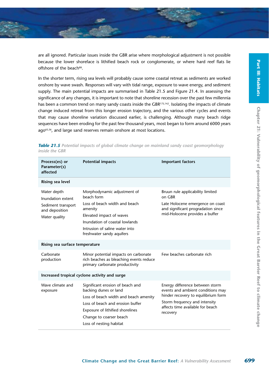

are all ignored. Particular issues inside the GBR arise where morphological adjustment is not possible because the lower shoreface is lithified beach rock or conglomerate, or where hard reef flats lie offshore of the beach<sup>88</sup>.

In the shorter term, rising sea levels will probably cause some coastal retreat as sediments are worked onshore by wave swash. Responses will vary with tidal range, exposure to wave energy, and sediment supply. The main potential impacts are summarised in Table 21.5 and Figure 21.4. In assessing the significance of any changes, it is important to note that shoreline recession over the past few millennia has been a common trend on many sandy coasts inside the GBR<sup>175,142</sup>. Isolating the impacts of climate change induced retreat from this longer erosion trajectory, and the various other cycles and events that may cause shoreline variation discussed earlier, is challenging. Although many beach ridge sequences have been eroding for the past few thousand years, most began to form around 6000 years ago<sup>65,56</sup>, and large sand reserves remain onshore at most locations.

| Process(es) or<br>Parameter(s)<br>affected                                                | <b>Potential impacts</b>                                                                                                                                                                                                         | <b>Important factors</b>                                                                                                                                                                     |  |
|-------------------------------------------------------------------------------------------|----------------------------------------------------------------------------------------------------------------------------------------------------------------------------------------------------------------------------------|----------------------------------------------------------------------------------------------------------------------------------------------------------------------------------------------|--|
| Rising sea level                                                                          |                                                                                                                                                                                                                                  |                                                                                                                                                                                              |  |
| Water depth<br>Inundation extent<br>Sediment transport<br>and deposition<br>Water quality | Morphodynamic adjustment of<br>beach form<br>Loss of beach width and beach<br>amenity<br>Elevated impact of waves<br>Inundation of coastal lowlands<br>Intrusion of saline water into<br>freshwater sandy aquifers               | Bruun rule applicability limited<br>on GBR<br>Late Holocene emergence on coast<br>and significant progradation since<br>mid-Holocene provides a buffer                                       |  |
| Rising sea surface temperature                                                            |                                                                                                                                                                                                                                  |                                                                                                                                                                                              |  |
| Carbonate<br>production                                                                   | Minor potential impacts on carbonate<br>rich beaches as bleaching events reduce<br>primary carbonate productivity                                                                                                                | Few beaches carbonate rich                                                                                                                                                                   |  |
|                                                                                           | Increased tropical cyclone activity and surge                                                                                                                                                                                    |                                                                                                                                                                                              |  |
| Wave climate and<br>exposure                                                              | Significant erosion of beach and<br>backing dunes or land<br>Loss of beach width and beach amenity<br>Loss of beach and erosion buffer<br>Exposure of lithified shorelines<br>Change to coarser beach<br>Loss of nesting habitat | Energy difference between storm<br>events and ambient conditions may<br>hinder recovery to equilibrium form<br>Storm frequency and intensity<br>affects time available for beach<br>recovery |  |

*Table 21.5 Potential impacts of global climate change on mainland sandy coast geomorphology inside the GBR*

**Part III: Habitats**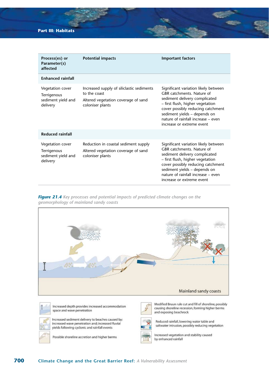# **Part III: Habitats**

| Process(es) or<br>Parameter(s)<br>affected                        | <b>Potential impacts</b>                                                                                             | <b>Important factors</b>                                                                                                                                                                                                                                                       |
|-------------------------------------------------------------------|----------------------------------------------------------------------------------------------------------------------|--------------------------------------------------------------------------------------------------------------------------------------------------------------------------------------------------------------------------------------------------------------------------------|
| <b>Fnhanced rainfall</b>                                          |                                                                                                                      |                                                                                                                                                                                                                                                                                |
| Vegetation cover<br>Terrigenous<br>sediment yield and<br>delivery | Increased supply of siliclastic sediments<br>to the coast<br>Altered vegetation coverage of sand<br>coloniser plants | Significant variation likely between<br>GBR catchments. Nature of<br>sediment delivery complicated<br>- first flush, higher vegetation<br>cover possibly reducing catchment<br>sediment yields - depends on<br>nature of rainfall increase - even<br>increase or extreme event |
| <b>Reduced rainfall</b>                                           |                                                                                                                      |                                                                                                                                                                                                                                                                                |
| Vegetation cover<br>Terrigenous<br>sediment yield and<br>delivery | Reduction in coastal sediment supply<br>Altered vegetation coverage of sand<br>coloniser plants                      | Significant variation likely between<br>GBR catchments. Nature of<br>sediment delivery complicated<br>- first flush, higher vegetation<br>cover possibly reducing catchment<br>sediment yields - depends on<br>nature of rainfall increase - even<br>increase or extreme event |

*Figure 21.4 Key processes and potential impacts of predicted climate changes on the geomorphology of mainland sandy coasts*

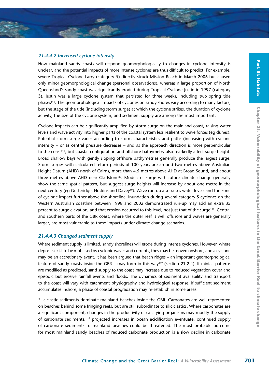# *21.4.4.2 Increased cyclone intensity*

How mainland sandy coasts will respond geomorphologically to changes in cyclone intensity is unclear, and the potential impacts of more intense cyclones are thus difficult to predict. For example, severe Tropical Cyclone Larry (category 5) directly struck Mission Beach in March 2006 but caused only minor geomorphological change (personal observations), whereas a large proportion of North Queensland's sandy coast was significantly eroded during Tropical Cyclone Justin in 1997 (category 3). Justin was a large cyclone system that persisted for three weeks, including two spring tide phases<sup>111</sup>. The geomorphological impacts of cyclones on sandy shores vary according to many factors, but the stage of the tide (including storm surge) at which the cyclone strikes, the duration of cyclone activity, the size of the cyclone system, and sediment supply are among the most important.

Cyclone impacts can be significantly amplified by storm surge on the mainland coast, raising water levels and wave activity into higher parts of the coastal system less resilient to wave forces (eg dunes). Potential storm surge varies according to storm characteristics and paths (increasing with cyclone intensity – or as central pressure decreases – and as the approach direction is more perpendicular to the coast<sup>118</sup>, but coastal configuration and offshore bathymetry also markedly affect surge height. Broad shallow bays with gently sloping offshore bathymetries generally produce the largest surge. Storm surges with calculated return periods of 100 years are around two metres above Australian Height Datum (AHD) north of Cairns, more than 4.5 metres above AHD at Broad Sound, and about three metres above AHD near Gladstone<sup>82</sup>. Models of surge with future climate change generally show the same spatial pattern, but suggest surge heights will increase by about one metre in the next century (eg Gutteridge, Hoskins and Davey<sup>59</sup>). Wave run-up also raises water levels and the zone of cyclone impact further above the shoreline. Inundation during several category 5 cyclones on the Western Australian coastline between 1998 and 2002 demonstrated run-up may add an extra 35 percent to surge elevation, and that erosion occurred to this level, not just that of the surge<sup>121</sup>. Central and southern parts of the GBR coast, where the outer reef is well offshore and waves are generally larger, are most vulnerable to these impacts under climate change scenarios.

# *21.4.4.3 Changed sediment supply*

Where sediment supply is limited, sandy shorelines will erode during intense cyclones. However, where deposits exist to be mobilised by cyclonic waves and currents, they may be moved onshore, and a cyclone may be an accretionary event. It has been argued that beach ridges – an important geomorphological feature of sandy coasts inside the GBR – may form in this way<sup>119</sup> (section 21.2.4). If rainfall patterns are modified as predicted, sand supply to the coast may increase due to reduced vegetation cover and episodic but erosive rainfall events and floods. The dynamics of sediment availability and transport to the coast will vary with catchment physiography and hydrological response. If sufficient sediment accumulates inshore, a phase of coastal progradation may re-establish in some areas.

Siliciclastic sediments dominate mainland beaches inside the GBR. Carbonates are well represented on beaches behind some fringing reefs, but are still subordinate to siliciclastics. Where carbonates are a significant component, changes in the productivity of calcifying organisms may modify the supply of carbonate sediments. If projected increases in ocean acidification eventuate, continued supply of carbonate sediments to mainland beaches could be threatened. The most probable outcome for most mainland sandy beaches of reduced carbonate production is a slow decline in carbonate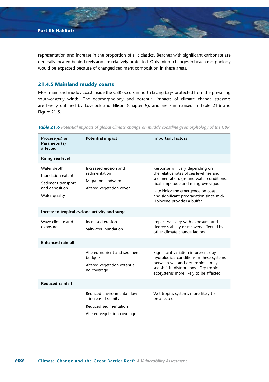representation and increase in the proportion of siliciclastics. Beaches with significant carbonate are generally located behind reefs and are relatively protected. Only minor changes in beach morphology would be expected because of changed sediment composition in these areas.

## **21.4.5 Mainland muddy coasts**

Most mainland muddy coast inside the GBR occurs in north facing bays protected from the prevailing south-easterly winds. The geomorphology and potential impacts of climate change stressors are briefly outlined by Lovelock and Ellison (chapter 9), and are summarised in Table 21.6 and Figure 21.5.

| Process(es) or<br>Parameter(s)<br>affected                                                | <b>Potential impact</b>                                                                                    | <b>Important factors</b>                                                                                                                                                                                                                                                   |
|-------------------------------------------------------------------------------------------|------------------------------------------------------------------------------------------------------------|----------------------------------------------------------------------------------------------------------------------------------------------------------------------------------------------------------------------------------------------------------------------------|
| Rising sea level                                                                          |                                                                                                            |                                                                                                                                                                                                                                                                            |
| Water depth<br>Inundation extent<br>Sediment transport<br>and deposition<br>Water quality | Increased erosion and<br>sedimentation<br>Migration landward<br>Altered vegetation cover                   | Response will vary depending on<br>the relative rates of sea level rise and<br>sedimentation, ground water conditions,<br>tidal amplitude and mangrove vigour<br>Late Holocene emergence on coast<br>and significant progradation since mid-<br>Holocene provides a buffer |
| Increased tropical cyclone activity and surge                                             |                                                                                                            |                                                                                                                                                                                                                                                                            |
| Wave climate and<br>exposure                                                              | Increased erosion<br>Saltwater inundation                                                                  | Impact will vary with exposure, and<br>degree stability or recovery affected by<br>other climate change factors                                                                                                                                                            |
| <b>Enhanced rainfall</b>                                                                  |                                                                                                            |                                                                                                                                                                                                                                                                            |
|                                                                                           | Altered nutrient and sediment<br>budgets<br>Altered vegetation extent a<br>nd coverage                     | Significant variation in present-day<br>hydrological conditions in these systems<br>between wet and dry tropics - may<br>see shift in distributions. Dry tropics<br>ecosystems more likely to be affected                                                                  |
| <b>Reduced rainfall</b>                                                                   |                                                                                                            |                                                                                                                                                                                                                                                                            |
|                                                                                           | Reduced environmental flow<br>- increased salinity<br>Reduced sedimentation<br>Altered vegetation coverage | Wet tropics systems more likely to<br>he affected                                                                                                                                                                                                                          |

*Table 21.6 Potential impacts of global climate change on muddy coastline geomorphology of the GBR*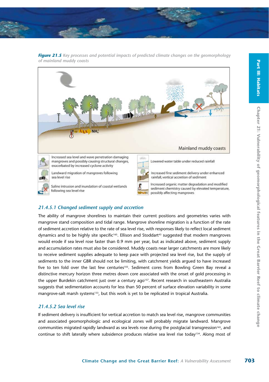

*Figure 21.5 Key processes and potential impacts of predicted climate changes on the geomorphology of mainland muddy coasts*



# *21.4.5.1 Changed sediment supply and accretion*

The ability of mangrove shorelines to maintain their current positions and geometries varies with mangrove stand composition and tidal range. Mangrove shoreline migration is a function of the rate of sediment accretion relative to the rate of sea level rise, with responses likely to reflect local sediment dynamics and to be highly site specific<sup>165</sup>. Ellison and Stoddart<sup>43</sup> suggested that modern mangroves would erode if sea level rose faster than 0.9 mm per year, but as indicated above, sediment supply and accumulation rates must also be considered. Muddy coasts near larger catchments are more likely to receive sediment supplies adequate to keep pace with projected sea level rise, but the supply of sediments to the inner GBR should not be limiting, with catchment yields argued to have increased five to ten fold over the last few centuries<sup>103</sup>. Sediment cores from Bowling Green Bay reveal a distinctive mercury horizon three metres down core associated with the onset of gold processing in the upper Burdekin catchment just over a century ago<sup>157</sup>. Recent research in southeastern Australia suggests that sedimentation accounts for less than 50 percent of surface elevation variability in some mangrove-salt marsh systems<sup>133</sup>, but this work is yet to be replicated in tropical Australia.

# *21.4.5.2 Sea level rise*

If sediment delivery is insufficient for vertical accretion to match sea level rise, mangrove communities and associated geomorphologic and ecological zones will probably migrate landward. Mangrove communities migrated rapidly landward as sea levels rose during the postglacial transgression<sup>165</sup>, and continue to shift laterally where subsidence produces relative sea level rise today134. Along most of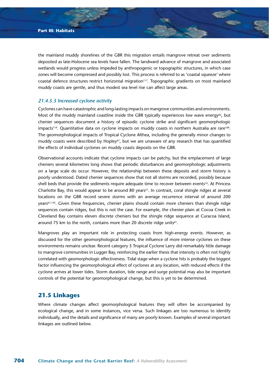the mainland muddy shorelines of the GBR this migration entails mangrove retreat over sediments deposited as late-Holocene sea levels have fallen. The landward advance of mangrove and associated wetlands would progress unless impeded by anthropogenic or topographic structures, in which case zones will become compressed and possibly lost. This process is referred to as 'coastal squeeze' where coastal defence structures restrict horizontal migration<sup>117</sup>. Topographic gradients on most mainland muddy coasts are gentle, and thus modest sea level rise can affect large areas.

#### *21.4.5.3 Increased cyclone activity*

Cyclones can have catastrophic and long-lasting impacts on mangrove communities and environments. Most of the muddy mainland coastline inside the GBR typically experiences low wave energy<sup>82</sup>, but chenier sequences document a history of episodic cyclone strike and significant geomorphologic impacts<sup>119</sup>. Quantitative data on cyclone impacts on muddy coasts in northern Australia are rare<sup>168</sup>. The geomorphological impacts of Tropical Cyclone Althea, including the generally minor changes to muddy coasts were described by Hopley<sup>67</sup>, but we are unaware of any research that has quantified the effects of individual cyclones on muddy coasts deposits on the GBR.

Observational accounts indicate that cyclone impacts can be patchy, but the emplacement of large cheniers several kilometres long shows that periodic disturbances and geomorphologic adjustments on a large scale do occur. However, the relationship between these deposits and storm history is poorly understood. Dated chenier sequences show that not all storms are recorded, possibly because shell beds that provide the sediments require adequate time to recover between events<sup>19</sup>. At Princess Charlotte Bay, this would appear to be around 80 years<sup>21</sup>. In contrast, coral shingle ridges at several locations on the GBR record severe storms with an average recurrence interval of around 200 years61,120. Given these frequencies, chenier plains should contain more cheniers than shingle ridge sequences contain ridges, but this is not the case. For example, the chenier plain at Cocoa Creek in Cleveland Bay contains eleven discrete cheniers but the shingle ridge sequence at Curacoa Island, around 75 km to the north, contains more than 20 discrete ridge units<sup>61</sup>.

Mangroves play an important role in protecting coasts from high-energy events. However, as discussed for the other geomorphological features, the influence of more intense cyclones on these environments remains unclear. Recent category 5 Tropical Cyclone Larry did remarkably little damage to mangrove communities in Lugger Bay, reinforcing the earlier thesis that intensity is often not highly correlated with geomorphologic effectiveness. Tidal stage when a cyclone hits is probably the biggest factor influencing the geomorphological effect of cyclones at any location, with reduced effects if the cyclone arrives at lower tides. Storm duration, tide range and surge potential may also be important controls of the potential for geomorphological change, but this is yet to be determined.

# **21.5 Linkages**

Where climate changes affect geomorphological features they will often be accompanied by ecological change, and in some instances, vice versa. Such linkages are too numerous to identify individually, and the details and significance of many are poorly known. Examples of several important linkages are outlined below.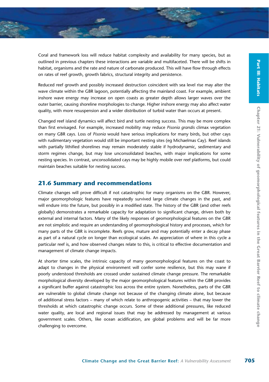Coral and framework loss will reduce habitat complexity and availability for many species, but as outlined in previous chapters these interactions are variable and multifaceted. There will be shifts in habitat, organisms and the rate and nature of carbonate produced. This will have flow through effects on rates of reef growth, growth fabrics, structural integrity and persistence.

Reduced reef growth and possibly increased destruction coincident with sea level rise may alter the wave climate within the GBR lagoon, potentially affecting the mainland coast. For example, ambient inshore wave energy may increase on open coasts as greater depth allows larger waves over the outer barrier, causing shoreline morphologies to change. Higher inshore energy may also affect water quality, with more resuspension and a wider distribution of turbid water than occurs at present.

Changed reef island dynamics will affect bird and turtle nesting success. This may be more complex than first envisaged. For example, increased mobility may reduce *Pisonia grandis* climax vegetation on many GBR cays. Loss of *Pisonia* would have serious implications for many birds, but other cays with rudimentary vegetation would still be important nesting sites (eg Michaelmas Cay). Reef islands with partially lithified shorelines may remain moderately stable if hydrodynamic, sedimentary and storm regimes change, but may lose unconsolidated beaches, with major implications for some nesting species. In contrast, unconsolidated cays may be highly mobile over reef platforms, but could maintain beaches suitable for nesting success.

# **21.6 Summary and recommendations**

Climate changes will prove difficult if not catastrophic for many organisms on the GBR. However, major geomorphologic features have repeatedly survived large climate changes in the past, and will endure into the future, but possibly in a modified state. The history of the GBR (and other reefs globally) demonstrates a remarkable capacity for adaptation to significant change, driven both by external and internal factors. Many of the likely responses of geomorphological features on the GBR are not simplistic and require an understanding of geomorphological history and processes, which for many parts of the GBR is incomplete. Reefs grow, mature and may potentially enter a decay phase as part of a natural cycle on longer than ecological scales. An appreciation of where in this cycle a particular reef is, and how observed changes relate to this, is critical to effective documentation and management of climate change impacts.

At shorter time scales, the intrinsic capacity of many geomorphological features on the coast to adapt to changes in the physical environment will confer some resilience, but this may wane if poorly understood thresholds are crossed under sustained climate change pressure. The remarkable morphological diversity developed by the major geomorphological features within the GBR provides a significant buffer against catastrophic loss across the entire system. Nonetheless, parts of the GBR are vulnerable to global climate change not because of the changing climate alone, but because of additional stress factors – many of which relate to anthropogenic activities – that may lower the thresholds at which catastrophic change occurs. Some of these additional pressures, like reduced water quality, are local and regional issues that may be addressed by management at various government scales. Others, like ocean acidification, are global problems and will be far more challenging to overcome.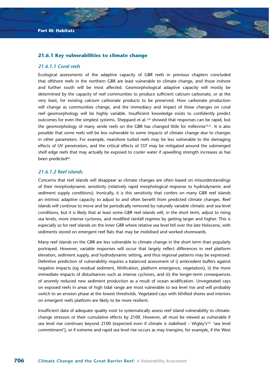#### **21.6.1 Key vulnerabilities to climate change**

#### *21.6.1.1 Coral reefs*

Ecological assessments of the adaptive capacity of GBR reefs in previous chapters concluded that offshore reefs in the northern GBR are least vulnerable to climate change, and those inshore and further south will be most affected. Geomorphological adaptive capacity will mostly be determined by the capacity of reef communities to produce sufficient calcium carbonate, or at the very least, for existing calcium carbonate products to be preserved. How carbonate production will change as communities change, and the immediacy and impact of these changes on coral reef geomorphology will be highly variable. Insufficient knowledge exists to confidently predict outcomes for even the simplest systems. Sheppard et al.<sup>139</sup> showed that responses can be rapid, but the geomorphology of many senile reefs on the GBR has changed little for millennia<sup>70,21</sup>. It is also possible that some reefs will be less vulnerable to some impacts of climate change due to changes in other parameters. For example, nearshore turbid reefs may be less vulnerable to the damaging effects of UV penetration, and the critical effects of SST may be mitigated around the submerged shelf edge reefs that may actually be exposed to cooler water if upwelling strength increases as has been predicted<sup>82</sup>.

### *21.6.1.2 Reef islands*

Concerns that reef islands will disappear as climate changes are often based on misunderstandings of their morphodynamic sensitivity (relatively rapid morphological response to hydrodynamic and sediment supply conditions). Ironically, it is this sensitivity that confers on many GBR reef islands an intrinsic adaptive capacity to adjust to and often benefit from predicted climate changes. Reef islands will continue to move and be periodically removed by naturally variable climatic and sea level conditions, but it is likely that at least some GBR reef islands will, in the short term, adjust to rising sea levels, more intense cyclones, and modified rainfall regimes by getting larger and higher. This is especially so for reef islands on the inner GBR where relative sea level fell over the late Holocene, with sediments stored on emergent reef flats that may be mobilised and worked shorewards.

Many reef islands on the GBR are less vulnerable to climate change in the short term than popularly portrayed. However, variable responses will occur that largely reflect differences in reef platform elevation, sediment supply, and hydrodynamic setting, and thus regional patterns may be expressed. Definitive prediction of vulnerability requires a balanced assessment of i) antecedent buffers against negative impacts (eg residual sediment, lithification, platform emergence, vegetation), ii) the more immediate impacts of disturbances such as intense cyclones, and iii) the longer-term consequences of severely reduced new sediment production as a result of ocean acidification. Unvegetated cays on exposed reefs in areas of high tidal range are most vulnerable to sea level rise and will probably switch to an erosion phase at the lowest thresholds. Vegetated cays with lithified shores and interiors on emergent reefs platform are likely to be more resilient.

Insufficient data of adequate quality exist to systematically assess reef island vulnerability to climatechange stressors or their cumulative effects by 2100. However, all must be viewed as vulnerable if sea level rise continues beyond 2100 (expected even if climate is stabilised – Wigley's<sup>161</sup> 'sea level commitment'), or if extreme and rapid sea level rise occurs as may transpire, for example, if the West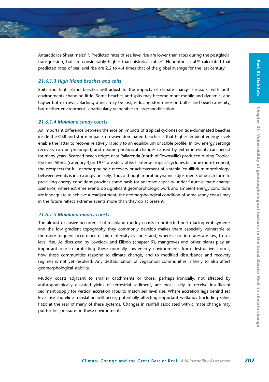Antarctic Ice Sheet melts<sup>123</sup>. Predicted rates of sea level rise are lower than rates during the postglacial transgression, but are considerably higher than historical rates<sup>60</sup>. Houghton et al.<sup>83</sup> calculated that predicted rates of sea level rise are 2.2 to 4.4 times that of the global average for the last century.

#### *21.6.1.3 High island beaches and spits*

Spits and high island beaches will adjust to the impacts of climate-change stressors, with both environments changing little. Some beaches and spits may become more mobile and dynamic, and higher but narrower. Backing dunes may be lost, reducing storm erosion buffer and beach amenity, but neither environment is particularly vulnerable to large modification.

## *21.6.1.4 Mainland sandy coasts*

An important difference between the erosion impacts of tropical cyclones on tide-dominated beaches inside the GBR and storm impacts on wave-dominated beaches is that higher ambient energy levels enable the latter to recover relatively rapidly to an equilibrium or stable profile. In low energy settings recovery can be prolonged, and geomorphological changes caused by extreme events can persist for many years. Scarped beach ridges near Pallarenda (north of Townsville) produced during Tropical Cyclone Althea (category 3) in 1971 are still visible. If intense tropical cyclones become more frequent, the prospects for full geomorphologic recovery or achievement of a stable 'equilibrium morphology' between events is increasingly unlikely. Thus although morphodynamic adjustments of beach form to prevailing energy conditions provides some basis for adaptive capacity under future climate change scenarios, where extreme events do significant geomorphologic work and ambient energy conditions are inadequate to achieve a readjustment, the geomorphological condition of some sandy coasts may in the future reflect extreme events more than they do at present.

#### *21.6.1.5 Mainland muddy coasts*

The almost exclusive occurrence of mainland muddy coasts in protected north facing embayments and the low gradient topography they commonly develop makes them especially vulnerable to the more frequent occurrence of high intensity cyclones and, where accretion rates are low, to sea level rise. As discussed by Lovelock and Ellison (chapter 9), mangroves and other plants play an important role in protecting these normally low-energy environments from destructive storms, how these communities respond to climate change, and to modified disturbance and recovery regimes is not yet resolved. Any destabilisation of vegetation communities is likely to also affect geomorphological stability.

Muddy coasts adjacent to smaller catchments or those, perhaps ironically, not affected by anthropogenically elevated yields of terrestrial sediment, are most likely to receive insufficient sediment supply for vertical accretion rates to match sea level rise. Where accretion lags behind sea level rise shoreline translation will occur, potentially affecting important wetlands (including saline flats) at the rear of many of these systems. Changes in rainfall associated with climate change may put further pressure on these environments.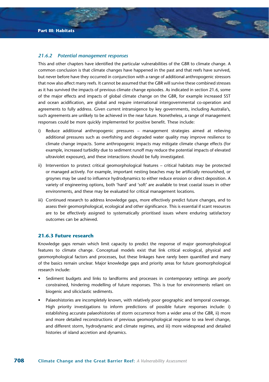#### *21.6.2 Potential management responses*

This and other chapters have identified the particular vulnerabilities of the GBR to climate change. A common conclusion is that climate changes have happened in the past and that reefs have survived, but never before have they occurred in conjunction with a range of additional anthropogenic stressors that now also affect many reefs. It cannot be assumed that the GBR will survive these combined stresses as it has survived the impacts of previous climate change episodes. As indicated in section 21.6, some of the major effects and impacts of global climate change on the GBR, for example increased SST and ocean acidification, are global and require international intergovernmental co-operation and agreements to fully address. Given current intransigence by key governments, including Australia's, such agreements are unlikely to be achieved in the near future. Nonetheless, a range of management responses could be more quickly implemented for positive benefit. These include:

- i) Reduce additional anthropogenic pressures management strategies aimed at relieving additional pressures such as overfishing and degraded water quality may improve resilience to climate change impacts. Some anthropogenic impacts may mitigate climate change effects (for example, increased turbidity due to sediment runoff may reduce the potential impacts of elevated ultraviolet exposure), and these interactions should be fully investigated.
- ii) Intervention to protect critical geomorphological features critical habitats may be protected or managed actively. For example, important nesting beaches may be artificially renourished, or groynes may be used to influence hydrodynamics to either reduce erosion or direct deposition. A variety of engineering options, both 'hard' and 'soft' are available to treat coastal issues in other environments, and these may be evaluated for critical management locations.
- iii) Continued research to address knowledge gaps, more effectively predict future changes, and to assess their geomorphological, ecological and other significance. This is essential if scant resources are to be effectively assigned to systematically prioritised issues where enduring satisfactory outcomes can be achieved.

#### **21.6.3 Future research**

Knowledge gaps remain which limit capacity to predict the response of major geomorphological features to climate change. Conceptual models exist that link critical ecological, physical and geomorphological factors and processes, but these linkages have rarely been quantified and many of the basics remain unclear. Major knowledge gaps and priority areas for future geomorphological research include:

- Sediment budgets and links to landforms and processes in contemporary settings are poorly constrained, hindering modelling of future responses. This is true for environments reliant on biogenic and siliciclastic sediments.
- Palaeohistories are incompletely known, with relatively poor geographic and temporal coverage. High priority investigations to inform predictions of possible future responses include: i) establishing accurate palaeohistories of storm occurrence from a wider area of the GBR, ii) more and more detailed reconstructions of previous geomorphological response to sea level change, and different storm, hydrodynamic and climate regimes, and iii) more widespread and detailed histories of island accretion and dynamics.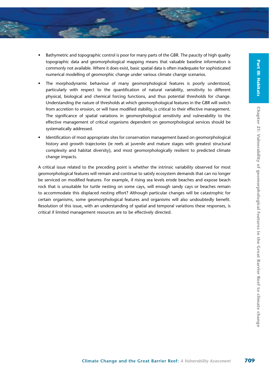- Bathymetric and topographic control is poor for many parts of the GBR. The paucity of high quality topographic data and geomorphological mapping means that valuable baseline information is commonly not available. Where it does exist, basic spatial data is often inadequate for sophisticated numerical modelling of geomorphic change under various climate change scenarios.
- The morphodynamic behaviour of many geomorphological features is poorly understood, particularly with respect to the quantification of natural variability, sensitivity to different physical, biological and chemical forcing functions, and thus potential thresholds for change. Understanding the nature of thresholds at which geomorphological features in the GBR will switch from accretion to erosion, or will have modified stability, is critical to their effective management. The significance of spatial variations in geomorphological sensitivity and vulnerability to the effective management of critical organisms dependent on geomorphological services should be systematically addressed.
- Identification of most appropriate sites for conservation management based on geomorphological history and growth trajectories (ie reefs at juvenile and mature stages with greatest structural complexity and habitat diversity), and most geomorphologically resilient to predicted climate change impacts.

A critical issue related to the preceding point is whether the intrinsic variability observed for most geomorphological features will remain and continue to satisfy ecosystem demands that can no longer be serviced on modified features. For example, if rising sea levels erode beaches and expose beach rock that is unsuitable for turtle nesting on some cays, will enough sandy cays or beaches remain to accommodate this displaced nesting effort? Although particular changes will be catastrophic for certain organisms, some geomorphological features and organisms will also undoubtedly benefit. Resolution of this issue, with an understanding of spatial and temporal variations these responses, is critical if limited management resources are to be effectively directed.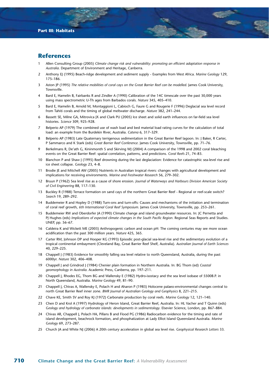# **References**

- 1 Allen Consulting Group (2005) *Climate change risk and vulnerability: promoting an efficient adaptation response in Australia*. Department of Environment and Heritage, Canberra.
- 2 Anthony EJ (1995) Beach-ridge development and sediment supply Examples from West Africa. *Marine Geology* 129, 175–186.
- 3 Aston JP (1995) *The relative mobilities of coral cays on the Great Barrier Reef can be modelled*. James Cook University, Townsville.
- Bard E, Hamelin B, Fairbanks R and Zindler A (1990) Calibration of the 14C timescale over the past 30,000 years using mass spectrometric U-Th ages from Barbados corals. *Nature* 345, 405–410.
- 5 Bard E, Hamelin B, Arnold M, Montaggioni L, Cabioch G, Faure G and Rougerie F (1996) Deglacial sea level record from Tahiti corals and the timing of global meltwater discharge. *Nature* 382, 241–244.
- 6 Bassett SE, Milne GA, Mitrovica JX and Clark PU (2005) Ice sheet and solid earth influences on far-field sea level histories. *Science* 309, 925–928.
- 7 Belperio AP (1979) The combined use of wash load and bed material load rating curves for the calculation of total load: an example from the Burdekin River, Australia. *Catena* 6, 317–329.
- 8 Belperio AP (1983) Late Quaternary terrigenous sedimentation in the Great Barrier Reef lagoon. In: J Baker, R Carter, P Sammarco and K Stark (eds) *Great Barrier Reef Conference*. James Cook University, Townsville, pp. 71–76.
- Berkelmans R, De'ath G, Kininmonth S and Skirving WJ (2004) A comparison of the 1998 and 2002 coral bleaching events on the Great Barrier Reef: spatial correlation, patterns, and predictions. *Coral Reefs* 21, 74–83.
- 10 Blanchon P and Shaw J (1995) Reef drowning during the last deglaciation: Evidence for catastrophic sea-level rise and ice sheet collapse. *Geology* 23, 4–8.
- 11 Brodie JE and Mitchell AW (2005) Nutrients in Australian tropical rivers: changes with agricultural development and implications for receiving environments. *Marine and Freshwater Research* 56, 279–302.
- 12 Bruun P (1962) Sea level rise as a cause of shore erosion. *Journal of Waterways and Harbours Division American Society of Civil Engineering* 88, 117–130.
- 13 Buckley R (1988) Terrace formation on sand cays of the northern Great Barrier Reef Regional or reef-scale switch? *Search* 19, 289–292.
- 14 Buddemeier R and Hopley D (1988) Turn-ons and turn-offs: Causes and mechanisms of the initiation and termination of coral reef growth, *6th International Coral Reef Symposium.* James Cook University, Townsville, pp. 253–261.
- 15 Buddemeier RW and Oberdorfer JA (1990) Climate change and island groundwater resources. In: JC Pernetta and PJ Hughes (eds) *Implications of expected climate changes in the South Pacific Region*. Regional Seas Reports and Studies. UNEP, pp. 56–67.
- 16 Caldeira K and Wickett ME (2003) Anthropogenic carbon and ocean pH: The coming centuries may see more ocean acidification than the past 300 million years. *Nature* 425, 365.
- 17 Carter RM, Johnson DP and Hooper KG (1993) Episodic post-glacial sea-level rise and the sedimentary evolution of a tropical continental embayment (Cleveland Bay, Great Barrier Reef Shelf, Australia). *Australian Journal of Earth Sciences* 40, 229–225.
- 18 Chappell J (1983) Evidence for smoothly falling sea level relative to north Queensland, Australia, during the past 6000yr. *Nature* 302, 406–408.
- 19 Chappell J and Grindrod J (1984) Chenier plain formation in Northern Australia. In: BG Thom (ed) *Coastal geomorphology in Australia*. Academic Press, Canberra, pp. 197–211.
- 20 Chappell J, Rhodes EG, Thom BG and Wallensky E (1982) Hydro-isostacy and the sea level isobase of 5500B.P. in North Queensland, Australia. *Marine Geology* 49, 81–90.
- 21 Chappell J, Chivas A, Wallensky E, Polach H and Aharon P (1983) Holocene palaeo-environmental changes central to north Great Barrier Reef inner zone. *BMR Journal of Australian Geology and Geophysics* 8, 221–215.
- 22 Chave KE, Smith SV and Roy KJ (1972) Carbonate production by coral reefs. *Marine Geology* 12, 121–140.
- 23 Chen D and Krol A (1997) Hydrology of Heron Island, Great Barrier Reef, Australia. In: HL Vacher and T Quinn (eds) *Geology and hydrology of carbonate islands: developments in sedimentology*. Elsevier Science, London, pp. 867–884.
- 24 Chivas AR, Chappell J, Polach HA, Pillans B and Flood PG (1986) Radiocarbon evidence for the timing and rate of island development, beachrock formation, and phosphatization at Lady Elliot Island Queensland Australia. *Marine Geology* 69, 273–287.
- 25 Church JA and White NJ (2006) A 20th century acceleration in global sea level rise. *Geophysical Research Letters* 33.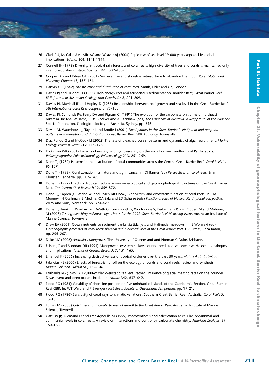- 26 Clark PU, McCabe AM, Mix AC and Weaver AJ (2004) Rapid rise of sea level 19,000 years ago and its global implications. *Science* 304, 1141–1144.
- 27 Connell JH (1978) Diversity in tropical rain forests and coral reefs: high diversity of trees and corals is maintained only in a nonequilibrium state. *Science* 199, 1302–1309.
- 28 Cooper JAG and Pilkey OH (2004) Sea level rise and shoreline retreat: time to abandon the Bruun Rule. *Global and Planetary Change* 43, 157–171.
- 29 Darwin CR (1842) *The structure and distribution of coral reefs*. Smith, Elder and Co, London.
- 30 Davies PJ and Hughes H (1983) High-energy reef and terrigenous sedimentation, Boulder Reef, Great Barrier Reef. *BMR Journal of Australian Geology and Geophysics* 8, 201–209.
- 31 Davies PJ, Marshall JF and Hopley D (1985) Relationships between reef growth and sea level in the Great Barrier Reef. *5th International Coral Reef Congress* 3, 95–103.
- 32 Davies PJ, Symonds PA, Feary DA and Pigram CJ (1991) The evolution of the carbonate platforms of northeast Australia. In: MAJ Williams, P De Deckker and AP Kershaw (eds) *The Cainozoic in Australia: A Reappraisal of the evidence*. Special Publication. Geological Society of Australia, Sydney, pp. 346.
- 33 Devlin M, Waterhouse J, Taylor J and Brodie J (2001) *Flood plumes in the Great Barrier Reef: Spatial and temporal patterns in composition and distribution*. Great Barrier Reef GBR Authority, Townsville.
- 34 Diaz-Pulido G and McCook LJ (2002) The fate of bleached corals: patterns and dynamics of algal recruitment. *Marine Ecology Progress Series* 212, 115–128.
- 35 Dickinson WR (2004) Impacts of eustasy and hydro-isostasy on the evolution and landforms of Pacific atolls. *Palaeogeography, Palaeoclimatology Palaeoecology* 213, 251–269.
- 36 Done TJ (1982) Patterns in the distribution of coral communities across the Central Great Barrier Reef. *Coral Reefs* 1, 95–107.
- 37 Done TJ (1983). Coral zonation: its nature and significance. In: DJ Barnes (ed) *Perspectives on coral reefs*. Brian Clouster, Canberra, pp. 107–147.
- 38 Done TJ (1992) Effects of tropical cyclone waves on ecological and geomorphological structures on the Great Barrier Reef. *Continental Shelf Research* 12, 859–872.
- 39 Done TJ, Ogden JC, Wiebe WJ and Rosen BR (1996) Biodiversity and ecosystem function of coral reefs. In: HA Mooney, JH Cushman, E Medina, OA Sala and ED Schulze (eds) *Functional roles of biodiversity: A global perspective*. Wiley and Sons, New York, pp. 394–429.
- 40 Done TJ, Turak E, Wakeford M, De'ath G, Kininmonth S, Wooldridge S, Berkelmans R, van Oppen M and Mahoney M (2003) *Testing bleaching resistance hypotheses for the 2002 Great Barrier Reef bleaching event.* Australian Institute of Marine Science, Townsville.
- 41 Drew EA (2001) Ocean nutrients to sediment banks via tidal jets and Halimeda meadows. In: E Wolanski (ed) *Oceanographic processes of coral reefs: physical and biological links in the Great Barrier Reef*. CRC Press, Boca Raton, pp. 255–267.
- 42 Duke NC (2006) *Australia's Mangroves*. The University of Queensland and Norman C Duke, Brisbane.
- 43 Ellison JC and Stoddart DR (1991) Mangrove ecosystem collapse during predicted sea level rise: Holocene analogues and implications. *Journal of Coastal Research* 7, 151–165.
- 44 Emanuel K (2005) Increasing destructiveness of tropical cyclones over the past 30 years. *Nature* 436, 686–688.
- 45 Fabricius KE (2005) Effects of terrestrial runoff on the ecology of corals and coral reefs: review and synthesis. *Marine Pollution Bulletin* 50, 125–146.
- 46 Fairbanks RG (1989) A 17,000-yr glacio-eustatic sea level record: influence of glacial melting rates on the Younger Dryas event and deep ocean circulation. *Nature* 342, 637–642.
- 47 Flood PG (1984) Variability of shoreline position on five uninhabited islands of the Capricornia Section, Great Barrier Reef GBR. In: WT Ward and P Saenger (eds) *Royal Society of Queensland Symposium*, pp. 17–21.
- 48 Flood PG (1986) Sensitivity of coral cays to climatic variations, Southern Great Barrier Reef, Australia. *Coral Reefs* 5, 13–18.
- 49 Furnas M (2003) *Catchments and corals: terrestrial run-off to the Great Barrier Reef.* Australian Institute of Marine Science, Townsville.
- 50 Gattuso JP, Allemand D and Frankignoulle M (1999) Photosynthesis and calcification at cellular, organismal and community levels in coral reefs: A review on interactions and control by carbonate chemistry. *American Zoologist* 39, 160–183.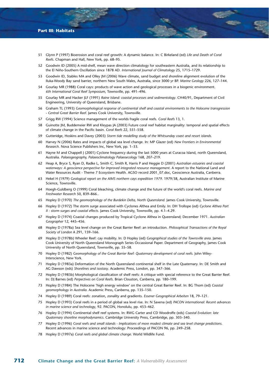- 51 Glynn P (1997) Bioerosion and coral reef growth: A dynamic balance. In: C Birkeland (ed) *Life and Death of Coral Reefs*. Chapman and Hall, New York, pp. 68–95.
- 52 Goodwin ID (2005) A mid-shelf, mean wave direction climatology for southeastern Australia, and its relationship to the El Niño-Southern Oscillation since 1878 AD. *International Journal of Climatology* 25, 1715–1729.
- 53 Goodwin ID, Stables MA and Olley JM (2006) Wave climate, sand budget and shoreline alignment evolution of the Iluka-Woody Bay sand barrier, northern New South Wales, Australia, since 3000 yr BP. *Marine Geology* 226, 127–144.
- 54 Gourlay MR (1988) Coral cays: products of wave action and geological processes in a biogenic environment. *6th International Coral Reef Symposium*, Townsville, pp. 491–496.
- 55 Gourlay MR and Hacker JLF (1991) *Raine Island: coastal processes and sedimentology*. CH40/91, Department of Civil Engineering, University of Queensland, Brisbane.
- 56 Graham TL (1993) *Geomorphological response of continental shelf and coastal environments to the Holocene transgression - Central Great Barrier Reef*. James Cook University, Townsville.
- 57 Grigg RW (1994) Science management of the worlds fragile coral reefs. *Coral Reefs* 13, 1.
- 58 Guinotte JM, Buddemeier RW and Kleypas JA (2003) Future coral reef habitat marginality: temporal and spatial effects of climate change in the Pacific basin. *Coral Reefs* 22, 551–558.
- 59 Gutteridge, Hoskins and Davey (2003) *Storm tide modelling study of the Whitsunday coast and resort islands*.
- 60 Harvey N (2006) Rates and impacts of global sea level change. In: MP Glazer (ed) *New Frontiers in Environmental Research*. Nova Science Publishers Inc, New York, pp. 1–33.
- 61 Hayne M and Chappell J (2001) Cyclone frequency during the last 5000 years at Curacoa Island, north Queensland, Australia. *Palaeogeography, Palaeoclimatology Palaeoecology* 168, 207–219.
- 62 Heap A, Bryce S, Ryan D, Radke L, Smith C, Smith R, Harris P and Heggie D (2001) *Australian estuaries and coastal waterways: A geoscience perspective for improved integrated resource management*. A report to the National Land and Water Resources Audit - Theme 7 Ecosystem Health. AGSO record 2001\_07.doc, Geoscience Australia, Canberra.
- 63 Hekel H (1979) *Geological report on the AIMS northern cays expedition 1979*. 1979/38, Australian Institute of Marine Science, Townsville.
- 64 Hoegh-Guldberg O (1999) Coral bleaching, climate change and the future of the world's coral reefs. *Marine and Freshwater Research* 50, 839–866..
- 65 Hopley D (1970) *The geomorphology of the Burdekin Delta, North Queensland*. James Cook University, Townsville.
- 66 Hopley D (1972) The storm surge associated with Cyclones Althea and Emily. In: DH Trollope (ed) *Cyclone Althea Part II : storm surges and coastal effects*. James Cook University, Townsville, pp. 4.1–4.29.
- 67 Hopley D (1974) Coastal changes produced by Tropical Cyclone Althea in Queensland; December 1971. *Australian Geographer* 12, 445–456.
- 68 Hopley D (1978a) Sea level change on the Great Barrier Reef: an introduction. *Philosophical Transactions of the Royal Society of London* A 291, 159–166.
- 69 Hopley D (1978b) Wheeler Reef: cay mobility. In: D Hopley (ed) *Geographical studies of the Townsville area*. James Cook University of North Queensland Monograph Series Occassional Paper. Department of Geography, James Cook University of North Queensland, Townsville, pp. 55–58.
- 70 Hopley D (1982) *Geomorphology of the Great Barrier Reef: Quaternary development of coral reefs*. John Wiley-Interscience, New York.
- 71 Hopley D (1983a) Deformation of the North Queensland continental shelf in the Late Quaternary. In: DE Smith and AG Dawson (eds) *Shorelines and isostasy*. Academic Press, London, pp. 347–366.
- 72 Hopley D (1983b) Morphological classification of shelf reefs: A critique with special reference to the Great Barrier Reef. In: DJ Barnes (ed) *Perpectives on Coral Reefs*. Brian Clouston, Canberra, pp. 180–199.
- 73 Hopley D (1984) The Holocene 'high energy window' on the central Great Barrier Reef. In: BG Thom (ed) *Coastal geomorphology in Australia*. Academic Press, Canberra, pp. 135–150.
- 74 Hopley D (1989) Coral reefs: zonation, zonality and gradients. *Essener Geographical Arbeiten* 18, 79–121.
- 75 Hopley D (1993) Coral reefs in a period of global sea level rise. In: N Saxena (ed) *PACON international: Recent advances in marine science and technology*, 92. PACON, Honolulu, pp. 453–462.
- 76 Hopley D (1994) Continental shelf reef systems. In: RWG Carter and CD Woodroffe (eds) *Coastal Evolution: late Quaternary shoreline morphodynamics*. Cambridge University Press, Cambridge, pp. 303–340.
- 77 Hopley D (1996) *Coral reefs and small islands Implications of more modest climate and sea level change predictions*. Recent advances in marine science and technology: Proceedings of PACON 96, pp. 249–258.
- 78 Hopley D (1997a) *Coral reefs and global climate change*. World Wildlife Fund.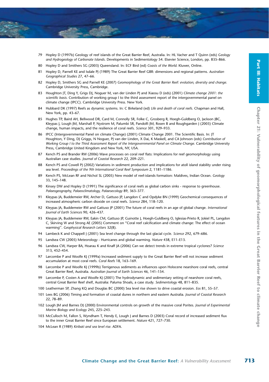- 79 Hopley D (1997b) Geology of reef islands of the Great Barrier Reef, Australia. In: HL Vacher and T Quinn (eds) *Geology and Hydrogeology of Carbonate Islands*. Developments in Sedimentology 54. Elsevier Science, London, pp. 835–866.
- 80 Hopley D and Smithers SG (2003) Queensland. In: ECF Bird (ed) *Coasts of the World*. Kluwer, Online.
- 81 Hopley D, Parnell KE and Isdale PJ (1989) The Great Barrier Reef GBR: dimensions and regional patterns. *Australian Geographical Studies* 27, 47–66.
- 82 Hopley D, Smithers SG and Parnell KE (2007) *Geomorphology of the Great Barrier Reef: evolution, diversity and change*. Cambridge University Press, Cambridge.
- 83 Houghton JT, Ding Y, Grigs DJ, Noguer M, van der Linden PJ and Xiaosu D (eds) (2001) *Climate change 2001: the scientific basis*. Contribution of working group I to the third assessment report of the intergovernmental panel on climate change (IPCC). Cambridge University Press. New York.
- 84 Hubbard DK (1997) Reefs as dynamic systems. In: C Birkeland (ed) *Life and death of coral reefs*. Chapman and Hall, New York, pp. 43–67.
- 85 Hughes TP, Baird AH, Bellwood DR, Card M, Connolly SR, Folke C, Grosberg R, Hoegh-Guldberg O, Jackson JBC, Kleypas J, Lough JM, Marshall P, Nystrom M, Palumbi SR, Pandolfi JM, Rosen B and Roughgarden J (2003) Climate change, human impacts, and the resilience of coral reefs. *Science* 301, 929–933.
- 86 IPCC (Intergovernmental Panel on climate Change) (2001) Climate Change 2001. The Scientific Basis. In: JT Houghton, Y Ding, DJ Griggs, N Noguer, PJ van der Linden, X Dai, K Maskell, and CA Johnson (eds) *Contribution of Working Group I to the Third Assessment Report of the Intergovernmental Panel on Climate Change*. Cambridge University Press, Cambridge United Kingdom and New York, NY, USA.
- 87 Kench PS and Brander RW (2006) Wave processes on coral reef flats: Implications for reef geomorphology using Australian case studies. *Journal of Coastal Research* 22, 209–221.
- 88 Kench PS and Cowell PJ (2002) Variations in sediment production and implications for atoll island stability under rising sea level. *Proceedings of the 9th International Coral Reef Symposium* 2, 1181–1186.
- 89 Kench PS, McLean RF and Nichol SL (2005) New model of reef-islands formation: Maldives, Indian Ocean. *Geology* 33, 145–148.
- 90 Kinsey DW and Hopley D (1991) The significance of coral reefs as global carbon sinks response to greenhouse. *Palaeogeography, Palaeoclimatology, Palaeoecology* 89, 363–377.
- 91 Kleypas JA, Buddemeier RW, Archer D, Gattuso JP, Langdon C and Opdyke BN (1999) Geochemical consequences of increased atmospheric carbon dioxide on coral reefs. *Science* 284, 118–120.
- 92 Kleypas JA, Buddemeier RW and Gattuso JP (2001) The future of coral reefs in an age of global change. *International Journal of Earth Sciences* 90, 426–437.
- 93 Kleypas JA, Buddemeier RW, Eakin CM, Gattuso JP, Guinotte J, Hoegh-Guldberg O, Iglesias-Prieto R, Jokiel PL, Langdon C, Skirving W and Strong AE (2005) Comment on "Coral reef calcification and climate change: The effect of ocean warming''. *Geophysical Research Letters* 32(8).
- 94 Lambeck K and Chappell J (2001) Sea level change through the last glacial cycle. *Science* 292, 679–686.
- 95 Landsea CW (2005) Meteorology Hurricanes and global warming. *Nature* 438, E11–E13.
- 96 Landsea CW, Harper BA, Hoarau K and Knaff JA (2006) Can we detect trends in extreme tropical cyclones? *Science* 313, 452–454.
- 97 Larcombe P and Woolfe KJ (1999a) Increased sediment supply to the Great Barrier Reef will not increase sediment accumulation at most coral reefs. *Coral Reefs* 18, 163–169.
- 98 Larcombe P and Woolfe KJ (1999b) Terrigenous sediments as influences upon Holocene nearshore coral reefs, central Great Barrier Reef, Australia. *Australian Journal of Earth Sciences* 46, 141–154.
- 99 Larcombe P, Costen A and Woolfe KJ (2001) The hydrodynamic and sedimentary setting of nearshore coral reefs, central Great Barrier Reef shelf, Australia: Paluma Shoals, a case study. *Sedimentology* 48, 811–835.
- 100 Leatherman SP, Zhang KQ and Douglas BC (2000) Sea level rise shown to drive coastal erosion. *Eos* 81, 55–57.
- 101 Lees BG (2006) Timing and formation of coastal dunes in northern and eastern Australia. *Journal of Coastal Research* 22, 78–89.
- 102 Lough JM and Barnes DJ (2000) Environmental controls on growth of the massive coral Porites. *Journal of Experimental Marine Biology and Ecology* 245, 225–243.
- 103 McCulloch M, Fallon S, Wyndham T, Hendy E, Lough J and Barnes D (2003) Coral record of increased sediment flux to the inner Great Barrier Reef since European settlement. *Nature* 421, 727–730.
- 104 McLean R (1989) *Kiribati and sea level rise*. ADFA.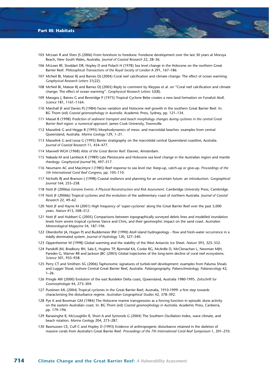- 105 McLean R and Shen JS (2006) From foreshore to foredune: Foredune development over the last 30 years at Moruya Beach, New South Wales, Australia. *Journal of Coastal Research* 22, 28–36.
- 106 McLean RF, Stoddart DR, Hopley D and Polach H (1978) Sea level change in the Holocene on the northern Great Barrier Reef. *Philosophical Transactions of the Royal Society of London* A 291, 167–186.
- 107 McNeil BI, Matear RJ and Barnes DJ (2004) Coral reef calcification and climate change: The effect of ocean warming. *Geophysical Research Letters* 31(22).
- 108 McNeil BI, Matear RJ and Barnes DJ (2005) Reply to comment by Kleypas et al. on "Coral reef calcification and climate change: The effect of ocean warming''. *Geophysical Research Letters* 32(8).
- 109 Maragos J, Baines G and Beveridge P (1973) Tropical Cyclone Bebe creates a new land formation on Funafuti Atoll. *Science* 181, 1161–1164.
- 110 Marshall JF and Davies PJ (1984) Facies variation and Holocene reef growth in the southern Great Barrier Reef. In: BG Thom (ed) *Coastal geomorphology in Australia*. Academic Press, Sydney, pp. 121–134.
- 111 Massel B (1998) *Prediction of sediment transport and beach morphology changes during cyclones in the central Great Barrier Reef region: a numerical approach*. James Cook University, Townsville.
- 112 Masselink G and Hegge B (1995) Morphodynamics of meso- and macrotidal beaches: examples from central Queensland, Australia. *Marine Geology* 129, 1–21.
- 113 Masselink G and Lessa G (1995) Barrier stratigraphy on the macrotidal central Queensland coastline, Australia. *Journal of Coastal Research* 11, 454–477.
- 114 Maxwell WGH (1968) *Atlas of the Great Barrier Reef*. Elsevier, Amsterdam.
- 115 Nakada M and Lambeck K (1989) Late Pleistocene and Holocene sea level change in the Australian region and mantle rheology. *Geophysical Journal* 96, 497–517.
- 116 Neumann AC and Macintyre I (1985) Reef response to sea level rise: Keep-up, catch-up or give-up. *Proceedings of the 5th International Coral Reef Congress,* pp. 105–110.
- 117 Nicholls RJ and Branson J (1998) Coastal resilience and planning for an uncertain future: an introduction. *Geographical Journal* 164, 255–258.
- 118 Nott JF (2006a) *Extreme Events: A Physical Reconstruction and Risk Assessment*. Cambridge University Press, Cambridge.
- 119 Nott JF (2006b) Tropical cyclones and the evolution of the sedimentary coast of northern Australia. *Journal of Coastal Research* 22, 49–62.
- 120 Nott JF and Hayne M (2001) High frequency of 'super-cyclones' along the Great Barrier Reef over the past 5,000 years. *Nature* 413, 508–512.
- 121 Nott JF and Hubbert G (2005) Comparisons between topographically surveyed debris lines and modelled inundation levels from severe tropical cyclones Vance and Chris, and their geomorphic impact on the sand coast. *Australian Meteorological Magazine* 54, 187–196.
- 122 Oberdorfer JA, Hogan PJ and Buddemeier RW (1990) Atoll island hydrogeology flow and fresh-water occurrence in a tidally dominated system. *Journal of Hydrology* 120, 327–340.
- 123 Oppenheimer M (1998) Global warming and the stability of the West Antarctic Ice Sheet. *Nature* 393, 325–332.
- 124 Pandolfi JM, Bradbury RH, Sala E, Hughes TP, Bjorndal KA, Cooke RG, McArdle D, McClenachan L, Newman MJH, Paredes G, Warner RR and Jackson JBC (2003) Global trajectories of the long-term decline of coral reef ecosystems. *Science* 301, 955–958.
- 125 Perry CT and Smithers SG (2006) Taphonomic signatures of turbid-reef development: examples from Paluma Shoals and Lugger Shoal, inshore Central Great Barrier Reef, Australia. *Palaeogeography, Palaeoclimatology, Palaeoecology* 42,  $1 - 26$
- 126 Pringle AW (2000) Evolution of the east Burdekin Delta coast, Queensland, Australia 1980-1995. *Zeitschrift fur Geomorphologie* 44, 273–304.
- 127 Puotinen ML (2004) Tropical cyclones in the Great Barrier Reef, Australia, 1910-1999: a first step towards characterising the disturbance regime. *Australian Geographical Studies* 42, 378–392.
- 128 Pye K and Bowman GM (1984) The Holocene marine transgression as a forcing function in episodic dune activity on the eastern Australian coast. In: BG Thom (ed) *Coastal geomorphology in Australia*. Academic Press, Canberra, pp. 179–196.
- 129 Ranasinghe R, McLoughlin R, Short A and Symonds G (2004) The Southern Oscillation Index, wave climate, and beach rotation. *Marine Geology* 204, 273–287.
- 130 Rasmussen CE, Cuff C and Hopley D (1993) Evidence of anthropogenic disturbance retained in the skeleton of massive corals from Australia's Great Barrier Reef. *Proceedings of the 7th International Coral Reef Symposium* 1, 201–210.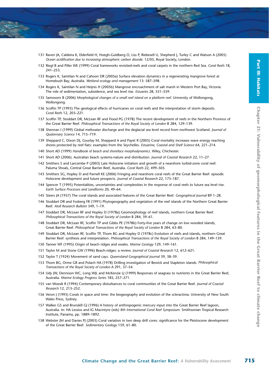- 131 Raven JA, Caldeira K, Elderfield H, Hoegh-Guldberg O, Liss P, Riebesell U, Shepherd J, Turley C and Watson A (2005) *Ocean acidification due to increasing atmospheric carbon dioxide*. 12/05, Royal Society, London.
- 132 Riegl B and Piller WE (1999) Coral frameworks revisited-reefs and coral carpets in the northern Red Sea. *Coral Reefs* 18, 241–253.
- 133 Rogers K, Saintilan N and Cahoon DR (2005a) Surface elevation dynamics in a regenerating mangrove forest at Homebush Bay, Australia. *Wetland ecology and management* 13: 587–598.
- 134 Rogers K, Saintilan N and Heijnis H (2005b) Mangrove encroachment of salt marsh in Western Port Bay, Victoria: The role of sedimentation, subsidence, and sea level rise. *Estuaries* 28, 551–559.
- 135 Samosorn B (2006) *Morphological changes of a small reef island on a platform reef.* University of Wollongong, Wollongong.
- 136 Scoffin TP (1993) The geological effects of hurricanes on coral reefs and the interpretation of storm deposits. *Coral Reefs* 12, 203–221.
- 137 Scoffin TP, Stoddart DR, McLean RF and Flood PG (1978) The recent development of reefs in the Northern Province of the Great Barrier Reef. *Philosophical Transactions of the Royal Society of London* B 284, 129–139.
- 138 Shennan I (1999) Global meltwater discharge and the deglacial sea level record from northwest Scotland. *Journal of Quaternary Science* 14, 715–719.
- 139 Sheppard C, Dixon DJ, Gourlay M, Sheppard A and Payet R (2005) Coral mortality increases wave energy reaching shores protected by reef flats: examples from the Seychelles. *Estuarine, Coastal and Shelf Science* 64, 221–214.
- 140 Short AD (1999) *Handbook of beach and shoreface morphodynamics*. Wiley, Chichester.
- 141 Short AD (2006). Australian beach systems-nature and distribution. *Journal of Coastal Research* 22, 11–27.
- 142 Smithers S and Larcombe P (2003) Late Holocene initiation and growth of a nearshore turbid-zone coral reef: Paluma Shoals, Central Great Barrier Reef, Australia. *Coral Reefs* 22, 499–505.
- 143 Smithers SG, Hopley D and Parnell KE (2006) Fringing and nearshore coral reefs of the Great Barrier Reef: episodic Holocene development and future prospects. *Journal of Coastal Research* 22, 175–187.
- 144 Spencer T (1995) Potentialities, uncertainties and complexities in the response of coral reefs to future sea level rise. *Earth Surface Processes and Landforms* 20, 49–64.
- 145 Steers JA (1937) The coral islands and associated features of the Great Barrier Reef. *Geographical Journal* 89 1–28.
- 146 Stoddart DR and Fosberg FR (1991) Phytogeography and vegetation of the reef islands of the Northern Great Barrier Reef. *Atoll Research Bulletin* 349, 1–19.
- 147 Stoddart DR, McLean RF and Hopley D (1978a) Geomorphology of reef islands, northern Great Barrier Reef. *Philosophical Transactions of the Royal Society of London* B 284, 39–61.
- 148 Stoddart DR, McLean RF, Scoffin TP and Gibbs PE (1978b) Forty-five years of change on low wooded islands, Great Barrier Reef. *Philosophical Transactions of the Royal Society of London* B 284, 63–80.
- 149 Stoddart DR, McLean RF, Scoffin TP, Thom BG and Hopley D (1978c) Evolution of reefs and islands, northern Great Barrier Reef: synthesis and interpretation. *Philosophical Transactions of the Royal Society of London B* 284, 149-159.
- 150 Tanner WF (1995) Origin of beach ridges and swales. *Marine Geology* 129, 149–161.
- 151 Taylor M and Stone GW (1996) Beach-ridges: a review. *Journal of Coastal Research* 12, 612–621.
- 152 Taylor T (1924) Movement of sand cays. *Queensland Geographical Journal* 39, 38–39.
- 153 Thom BG, Orme GR and Polach HA (1978) Drilling investigation of Bewick and Stapleton islands. *Philosophical Transactions of the Royal Society of London* A 291, 37–54.
- 154 Udy JW, Dennison WC, Long WJL and McKenzie LJ (1999) Responses of seagrass to nutrients in the Great Barrier Reef, Australia. *Marine Ecology Progress Series* 185, 257–271.
- 155 van Woesik R (1994) Contemporary disturbances to coral communities of the Great Barrier Reef. *Journal of Coastal Research* 12, 213–252.
- 156 Veron J (1995) Corals in space and time: the biogeography and evolution of the scleractinia. University of New South Wales Press, Sydney.
- 157 Walker GS and Brunskill GJ (1996) A history of anthropogenic mercury input into the Great Barrier Reef lagoon, Australia. In: HA Lessios and IG Macintyre (eds) *8th International Coral Reef Symposium.* Smithsonian Tropical Research Institute, Panama, pp. 1889–1892.
- 158 Webster JM and Davies PJ (2003) Coral variation in two deep drill cores: significance for the Pleistocene development of the Great Barrier Reef. *Sedimentary Geology* 159, 61–80.